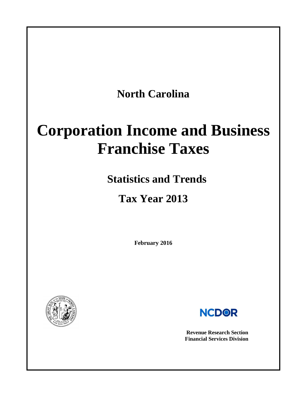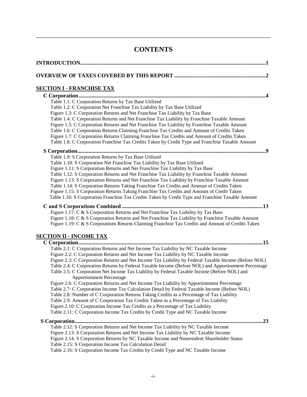# **CONTENTS**

\_\_\_\_\_\_\_\_\_\_\_\_\_\_\_\_\_\_\_\_\_\_\_\_\_\_\_\_\_\_\_\_\_\_\_\_\_\_\_\_\_\_\_\_\_\_\_\_\_\_\_\_\_\_\_\_\_\_\_\_\_\_\_\_\_\_\_\_\_\_\_\_\_\_\_\_\_\_

| <u>SECTION I - FRANCHISE TAX</u>                                                                                                                                                                                                                                                                                                                                                                                                                                                                                                                                                                                                                                                                                             |
|------------------------------------------------------------------------------------------------------------------------------------------------------------------------------------------------------------------------------------------------------------------------------------------------------------------------------------------------------------------------------------------------------------------------------------------------------------------------------------------------------------------------------------------------------------------------------------------------------------------------------------------------------------------------------------------------------------------------------|
|                                                                                                                                                                                                                                                                                                                                                                                                                                                                                                                                                                                                                                                                                                                              |
| Table 1.1: C Corporation Returns by Tax Base Utilized<br>Table 1.2: C Corporation Net Franchise Tax Liability by Tax Base Utilized<br>Figure 1.3: C Corporation Returns and Net Franchise Tax Liability by Tax Base<br>Table 1.4: C Corporation Returns and Net Franchise Tax Liability by Franchise Taxable Amount                                                                                                                                                                                                                                                                                                                                                                                                          |
| Figure 1.5: C Corporation Returns and Net Franchise Tax Liability by Franchise Taxable Amount<br>Table 1.6: C Corporation Returns Claiming Franchise Tax Credits and Amount of Credits Taken<br>Figure 1.7: C Corporation Returns Claiming Franchise Tax Credits and Amount of Credits Taken<br>Table 1.8: C Corporation Franchise Tax Credits Taken by Credit Type and Franchise Taxable Amount                                                                                                                                                                                                                                                                                                                             |
| .9                                                                                                                                                                                                                                                                                                                                                                                                                                                                                                                                                                                                                                                                                                                           |
| Table 1.9: S Corporation Returns by Tax Base Utilized<br>Table 1.10: S Corporation Net Franchise Tax Liability by Tax Base Utilized<br>Figure 1.11: S Corporation Returns and Net Franchise Tax Liability by Tax Base<br>Table 1.12: S Corporation Returns and Net Franchise Tax Liability by Franchise Taxable Amount<br>Figure 1.13: S Corporation Returns and Net Franchise Tax Liability by Franchise Taxable Amount<br>Table 1.14: S Corporation Returns Taking Franchise Tax Credits and Amount of Credits Taken<br>Figure 1.15: S Corporation Returns Taking Franchise Tax Credits and Amount of Credit Taken<br>Table 1.16: S Corporation Franchise Tax Credits Taken by Credit Type and Franchise Taxable Amount    |
| Figure 1.17: C & S Corporation Returns and Net Franchise Tax Liability by Tax Base<br>Figure 1.18: C & S Corporation Returns and Net Franchise Tax Liability by Franchise Taxable Amount<br>Figure 1.19: C & S Corporations Returns Claiming Franchise Tax Credits and Amount of Credits Taken                                                                                                                                                                                                                                                                                                                                                                                                                               |
| <u>SECTION II - INCOME TAX</u>                                                                                                                                                                                                                                                                                                                                                                                                                                                                                                                                                                                                                                                                                               |
| Table 2.1: C Corporation Returns and Net Income Tax Liability by NC Taxable Income<br>Figure 2.2: C Corporation Returns and Net Income Tax Liability by NC Taxable Income<br>Figure 2.3: C Corporation Returns and Net Income Tax Liability by Federal Taxable Income (Before NOL)<br>Table 2.4: C Corporation Returns by Federal Taxable Income (Before NOL) and Apportionment Percentage<br>Table 2.5: C Corporation Net Income Tax Liability by Federal Taxable Income (Before NOL) and<br><b>Apportionment Percentage</b><br>Figure 2.6: C Corporation Returns and Net Income Tax Liability by Apportionment Percentage<br>Table 2.7: C Corporation Income Tax Calculation Detail by Federal Taxable Income (Before NOL) |
| Table 2.8: Number of C Corporation Returns Taking Credits as a Percentage of Tax Liability<br>Table 2.9: Amount of C Corporation Tax Credits Taken as a Percentage of Tax Liability<br>Figure 2.10: C Corporation Income Tax Credits as a Percentage of Tax Liability<br>Table 2.11: C Corporation Income Tax Credits by Credit Type and NC Taxable Income                                                                                                                                                                                                                                                                                                                                                                   |
| .23<br>Table 2.12: S Corporation Returns and Net Income Tax Liability by NC Taxable Income<br>Figure 2.13: S Corporation Returns and Net Income Tax Liability by NC Taxable Income<br>Figure 2.14: S Corporation Returns by NC Taxable Income and Nonresident Shareholder Status<br>Table 2.15: S Corporation Income Tax Calculation Detail<br>Table 2.16: S Corporation Income Tax Credits by Credit Type and NC Taxable Income                                                                                                                                                                                                                                                                                             |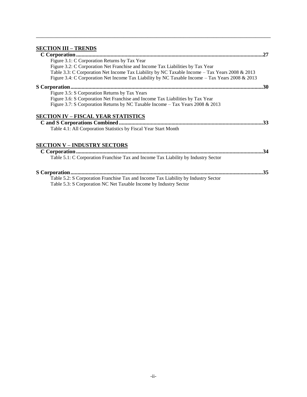## **[SECTION III –](#page-29-0) TRENDS**

|                                                                                                 | .27 |
|-------------------------------------------------------------------------------------------------|-----|
| Figure 3.1: C Corporation Returns by Tax Year                                                   |     |
| Figure 3.2: C Corporation Net Franchise and Income Tax Liabilities by Tax Year                  |     |
| Table 3.3: C Corporation Net Income Tax Liability by NC Taxable Income - Tax Years 2008 & 2013  |     |
| Figure 3.4: C Corporation Net Income Tax Liability by NC Taxable Income - Tax Years 2008 & 2013 |     |
|                                                                                                 |     |
| Figure 3.5: S Corporation Returns by Tax Years                                                  |     |
| Figure 3.6: S Corporation Net Franchise and Income Tax Liabilities by Tax Year                  |     |
| Figure 3.7: S Corporation Returns by NC Taxable Income - Tax Years 2008 & 2013                  |     |
| <b>SECTION IV – FISCAL YEAR STATISTICS</b>                                                      |     |
|                                                                                                 | .33 |
| Table 4.1: All Corporation Statistics by Fiscal Year Start Month                                |     |
| <b>SECTION V - INDUSTRY SECTORS</b>                                                             |     |
|                                                                                                 | .34 |
| Table 5.1: C Corporation Franchise Tax and Income Tax Liability by Industry Sector              |     |
|                                                                                                 | .35 |
| Table 5.2: S Corporation Franchise Tax and Income Tax Liability by Industry Sector              |     |
| Table 5.3: S Corporation NC Net Taxable Income by Industry Sector                               |     |

\_\_\_\_\_\_\_\_\_\_\_\_\_\_\_\_\_\_\_\_\_\_\_\_\_\_\_\_\_\_\_\_\_\_\_\_\_\_\_\_\_\_\_\_\_\_\_\_\_\_\_\_\_\_\_\_\_\_\_\_\_\_\_\_\_\_\_\_\_\_\_\_\_\_\_\_\_\_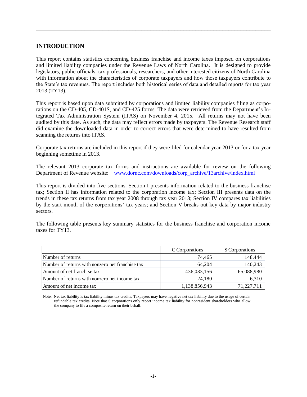## **INTRODUCTION**

This report contains statistics concerning business franchise and income taxes imposed on corporations and limited liability companies under the Revenue Laws of North Carolina. It is designed to provide legislators, public officials, tax professionals, researchers, and other interested citizens of North Carolina with information about the characteristics of corporate taxpayers and how those taxpayers contribute to the State's tax revenues. The report includes both historical series of data and detailed reports for tax year 2013 (TY13).

\_\_\_\_\_\_\_\_\_\_\_\_\_\_\_\_\_\_\_\_\_\_\_\_\_\_\_\_\_\_\_\_\_\_\_\_\_\_\_\_\_\_\_\_\_\_\_\_\_\_\_\_\_\_\_\_\_\_\_\_\_\_\_\_\_\_\_\_\_\_\_\_\_\_\_\_\_\_

This report is based upon data submitted by corporations and limited liability companies filing as corporations on the CD-405, CD-401S, and CD-425 forms. The data were retrieved from the Department's Integrated Tax Administration System (ITAS) on November 4, 2015. All returns may not have been audited by this date. As such, the data may reflect errors made by taxpayers. The Revenue Research staff did examine the downloaded data in order to correct errors that were determined to have resulted from scanning the returns into ITAS.

Corporate tax returns are included in this report if they were filed for calendar year 2013 or for a tax year beginning sometime in 2013.

The relevant 2013 corporate tax forms and instructions are available for review on the following Department of Revenue website: [www.dornc.com/downloads/corp\\_archive/13archive/index.html](http://www.dornc.com/downloads/corp_archive/13archive/index.html)

This report is divided into five sections. Section I presents information related to the business franchise tax; Section II has information related to the corporation income tax; Section III presents data on the trends in these tax returns from tax year 2008 through tax year 2013; Section IV compares tax liabilities by the start month of the corporations' tax years; and Section V breaks out key data by major industry sectors.

The following table presents key summary statistics for the business franchise and corporation income taxes for TY13.

|                                                  | C Corporations | S Corporations |
|--------------------------------------------------|----------------|----------------|
| Number of returns                                | 74,465         | 148,444        |
| Number of returns with nonzero net franchise tax | 64.204         | 140,243        |
| Amount of net franchise tax                      | 436,033,156    | 65,088,980     |
| Number of returns with nonzero net income tax    | 24,180         | 6,310          |
| Amount of net income tax                         | 1,138,856,943  | 71,227,711     |

Note: Net tax liability is tax liability minus tax credits. Taxpayers may have negative net tax liability due to the usage of certain refundable tax credits. Note that S corporations only report income tax liability for nonresident shareholders who allow the company to file a composite return on their behalf.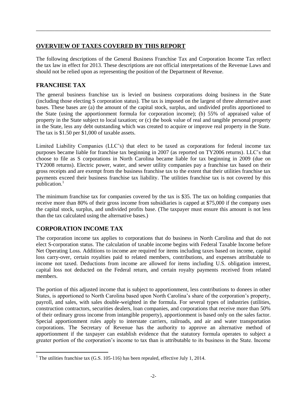## <span id="page-4-0"></span>**OVERVIEW OF TAXES COVERED BY THIS REPORT**

The following descriptions of the General Business Franchise Tax and Corporation Income Tax reflect the tax law in effect for 2013. These descriptions are not official interpretations of the Revenue Laws and should not be relied upon as representing the position of the Department of Revenue.

\_\_\_\_\_\_\_\_\_\_\_\_\_\_\_\_\_\_\_\_\_\_\_\_\_\_\_\_\_\_\_\_\_\_\_\_\_\_\_\_\_\_\_\_\_\_\_\_\_\_\_\_\_\_\_\_\_\_\_\_\_\_\_\_\_\_\_\_\_\_\_\_\_\_\_\_\_\_

## **FRANCHISE TAX**

The general business franchise tax is levied on business corporations doing business in the State (including those electing S corporation status). The tax is imposed on the largest of three alternative asset bases. These bases are (a) the amount of the capital stock, surplus, and undivided profits apportioned to the State (using the apportionment formula for corporation income); (b) 55% of appraised value of property in the State subject to local taxation; or (c) the book value of real and tangible personal property in the State, less any debt outstanding which was created to acquire or improve real property in the State. The tax is \$1.50 per \$1,000 of taxable assets.

Limited Liability Companies (LLC's) that elect to be taxed as corporations for federal income tax purposes became liable for franchise tax beginning in 2007 (as reported on TY2006 returns). LLC's that choose to file as S corporations in North Carolina became liable for tax beginning in 2009 (due on TY2008 returns). Electric power, water, and sewer utility companies pay a franchise tax based on their gross receipts and are exempt from the business franchise tax to the extent that their utilities franchise tax payments exceed their business franchise tax liability. The utilities franchise tax is not covered by this publication.<sup>1</sup>

The minimum franchise tax for companies covered by the tax is \$35. The tax on holding companies that receive more than 80% of their gross income from subsidiaries is capped at \$75,000 if the company uses the capital stock, surplus, and undivided profits base. (The taxpayer must ensure this amount is not less than the tax calculated using the alternative bases.)

## **CORPORATION INCOME TAX**

 $\overline{a}$ 

The corporation income tax applies to corporations that do business in North Carolina and that do not elect S-corporation status. The calculation of taxable income begins with Federal Taxable Income before Net Operating Loss. Additions to income are required for items including taxes based on income, capital loss carry-over, certain royalties paid to related members, contributions, and expenses attributable to income not taxed. Deductions from income are allowed for items including U.S. obligation interest, capital loss not deducted on the Federal return, and certain royalty payments received from related members.

The portion of this adjusted income that is subject to apportionment, less contributions to donees in other States, is apportioned to North Carolina based upon North Carolina's share of the corporation's property, payroll, and sales, with sales double-weighted in the formula. For several types of industries (utilities, construction contractors, securities dealers, loan companies, and corporations that receive more than 50% of their ordinary gross income from intangible property), apportionment is based only on the sales factor. Special apportionment rules apply to interstate carriers, railroads, and air and water transportation corporations. The Secretary of Revenue has the authority to approve an alternative method of apportionment if the taxpayer can establish evidence that the statutory formula operates to subject a greater portion of the corporation's income to tax than is attributable to its business in the State. Income

<sup>&</sup>lt;sup>1</sup> The utilities franchise tax (G.S. 105-116) has been repealed, effective July 1, 2014.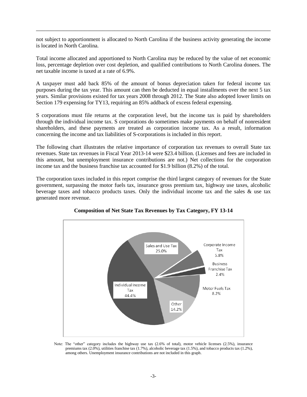not subject to apportionment is allocated to North Carolina if the business activity generating the income is located in North Carolina.

\_\_\_\_\_\_\_\_\_\_\_\_\_\_\_\_\_\_\_\_\_\_\_\_\_\_\_\_\_\_\_\_\_\_\_\_\_\_\_\_\_\_\_\_\_\_\_\_\_\_\_\_\_\_\_\_\_\_\_\_\_\_\_\_\_\_\_\_\_\_\_\_\_\_\_\_\_\_

Total income allocated and apportioned to North Carolina may be reduced by the value of net economic loss, percentage depletion over cost depletion, and qualified contributions to North Carolina donees. The net taxable income is taxed at a rate of 6.9%.

A taxpayer must add back 85% of the amount of bonus depreciation taken for federal income tax purposes during the tax year. This amount can then be deducted in equal installments over the next 5 tax years. Similar provisions existed for tax years 2008 through 2012. The State also adopted lower limits on Section 179 expensing for TY13, requiring an 85% addback of excess federal expensing.

S corporations must file returns at the corporation level, but the income tax is paid by shareholders through the individual income tax. S corporations do sometimes make payments on behalf of nonresident shareholders, and these payments are treated as corporation income tax. As a result, information concerning the income and tax liabilities of S-corporations is included in this report.

The following chart illustrates the relative importance of corporation tax revenues to overall State tax revenues. State tax revenues in Fiscal Year 2013-14 were \$23.4 billion. (Licenses and fees are included in this amount, but unemployment insurance contributions are not.) Net collections for the corporation income tax and the business franchise tax accounted for \$1.9 billion (8.2%) of the total.

The corporation taxes included in this report comprise the third largest category of revenues for the State government, surpassing the motor fuels tax, insurance gross premium tax, highway use taxes, alcoholic beverage taxes and tobacco products taxes. Only the individual income tax and the sales & use tax generated more revenue.



**Composition of Net State Tax Revenues by Tax Category, FY 13-14**

Note: The "other" category includes the highway use tax (2.6% of total), motor vehicle licenses (2.5%), insurance premiums tax (2.0%), utilities franchise tax (1.7%), alcoholic beverage tax (1.5%), and tobacco products tax (1.2%), among others. Unemployment insurance contributions are not included in this graph.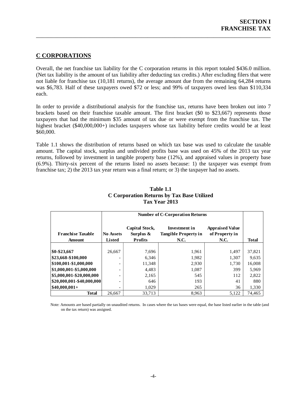## <span id="page-6-0"></span>**C CORPORATIONS**

Overall, the net franchise tax liability for the C corporation returns in this report totaled \$436.0 million. (Net tax liability is the amount of tax liability after deducting tax credits.) After excluding filers that were not liable for franchise tax (10,181 returns), the average amount due from the remaining 64,284 returns was \$6,783. Half of these taxpayers owed \$72 or less; and 99% of taxpayers owed less than \$110,334 each.

\_\_\_\_\_\_\_\_\_\_\_\_\_\_\_\_\_\_\_\_\_\_\_\_\_\_\_\_\_\_\_\_\_\_\_\_\_\_\_\_\_\_\_\_\_\_\_\_\_\_\_\_\_\_\_\_\_\_\_\_\_\_\_\_\_\_\_\_\_\_\_\_\_\_\_\_\_\_

In order to provide a distributional analysis for the franchise tax, returns have been broken out into 7 brackets based on their franchise taxable amount. The first bracket (\$0 to \$23,667) represents those taxpayers that had the minimum \$35 amount of tax due or were exempt from the franchise tax. The highest bracket (\$40,000,000+) includes taxpayers whose tax liability before credits would be at least \$60,000.

Table 1.1 shows the distribution of returns based on which tax base was used to calculate the taxable amount. The capital stock, surplus and undivided profits base was used on 45% of the 2013 tax year returns, followed by investment in tangible property base (12%), and appraised values in property base (6.9%). Thirty-six percent of the returns listed no assets because: 1) the taxpayer was exempt from franchise tax; 2) the 2013 tax year return was a final return; or 3) the taxpayer had no assets.

<span id="page-6-1"></span>

|                                           | <b>Number of C-Corporation Returns</b> |                                                      |                                                             |                                                         |              |
|-------------------------------------------|----------------------------------------|------------------------------------------------------|-------------------------------------------------------------|---------------------------------------------------------|--------------|
| <b>Franchise Taxable</b><br><b>Amount</b> | <b>No Assets</b><br><b>Listed</b>      | <b>Capital Stock,</b><br>Surplus &<br><b>Profits</b> | <b>Investment in</b><br><b>Tangible Property in</b><br>N.C. | <b>Appraised Value</b><br>of Property in<br><b>N.C.</b> | <b>Total</b> |
|                                           |                                        |                                                      |                                                             |                                                         |              |
| \$0-\$23,667                              | 26,667                                 | 7,696                                                | 1,961                                                       | 1.497                                                   | 37,821       |
| \$23,668-\$100,000                        |                                        | 6,346                                                | 1,982                                                       | 1,307                                                   | 9,635        |
| \$100,001-\$1,000,000                     | ۰                                      | 11,348                                               | 2,930                                                       | 1.730                                                   | 16,008       |
| \$1,000,001-\$5,000,000                   | ۰                                      | 4,483                                                | 1,087                                                       | 399                                                     | 5,969        |
| \$5,000,001-\$20,000,000                  | $\overline{\phantom{a}}$               | 2,165                                                | 545                                                         | 112                                                     | 2,822        |
| \$20,000,001-\$40,000,000                 | ۰                                      | 646                                                  | 193                                                         | 41                                                      | 880          |
| $$40,000,001+$                            | ۰                                      | 1,029                                                | 265                                                         | 36                                                      | 1,330        |
| <b>Total</b>                              | 26,667                                 | 33.713                                               | 8,963                                                       | 5,122                                                   | 74.465       |

#### **Table 1.1 C Corporation Returns by Tax Base Utilized Tax Year 2013**

Note: Amounts are based partially on unaudited returns. In cases where the tax bases were equal, the base listed earlier in the table (and on the tax return) was assigned.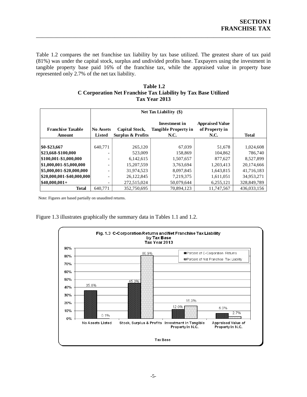Table 1.2 compares the net franchise tax liability by tax base utilized. The greatest share of tax paid (81%) was under the capital stock, surplus and undivided profits base. Taxpayers using the investment in tangible property base paid 16% of the franchise tax, while the appraised value in property base represented only 2.7% of the net tax liability.

\_\_\_\_\_\_\_\_\_\_\_\_\_\_\_\_\_\_\_\_\_\_\_\_\_\_\_\_\_\_\_\_\_\_\_\_\_\_\_\_\_\_\_\_\_\_\_\_\_\_\_\_\_\_\_\_\_\_\_\_\_\_\_\_\_\_\_\_\_\_\_\_\_\_\_\_\_\_

<span id="page-7-0"></span>

| Table 1.2                                                      |
|----------------------------------------------------------------|
| C Corporation Net Franchise Tax Liability by Tax Base Utilized |
| Tax Year 2013                                                  |

|                                    |                                   | Net Tax Liability (\$)                                |                                                                    |                                                  |              |
|------------------------------------|-----------------------------------|-------------------------------------------------------|--------------------------------------------------------------------|--------------------------------------------------|--------------|
| <b>Franchise Taxable</b><br>Amount | <b>No Assets</b><br><b>Listed</b> | <b>Capital Stock,</b><br><b>Surplus &amp; Profits</b> | <b>Investment</b> in<br><b>Tangible Property in</b><br><b>N.C.</b> | <b>Appraised Value</b><br>of Property in<br>N.C. | <b>Total</b> |
|                                    |                                   |                                                       |                                                                    |                                                  |              |
| \$0-\$23,667                       | 640,771                           | 265,120                                               | 67,039                                                             | 51,678                                           | 1,024,608    |
| \$23,668-\$100,000                 |                                   | 523,009                                               | 158,869                                                            | 104,862                                          | 786.740      |
| \$100,001-\$1,000,000              |                                   | 6,142,615                                             | 1,507,657                                                          | 877,627                                          | 8,527,899    |
| \$1,000,001-\$5,000,000            |                                   | 15.207.559                                            | 3,763,694                                                          | 1,203,413                                        | 20,174,666   |
| \$5,000,001-\$20,000,000           |                                   | 31,974,523                                            | 8,097,845                                                          | 1,643,815                                        | 41,716,183   |
| \$20,000,001-\$40,000,000          |                                   | 26,122,845                                            | 7,219,375                                                          | 1,611,051                                        | 34,953,271   |
| $$40,000,001+$                     |                                   | 272,515,024                                           | 50.079.644                                                         | 6,255,121                                        | 328,849,789  |
| <b>Total</b>                       | 640.771                           | 352,750,695                                           | 70.894.123                                                         | 11.747.567                                       | 436,033,156  |

Note: Figures are based partially on unaudited returns.

<span id="page-7-1"></span>Figure 1.3 illustrates graphically the summary data in Tables 1.1 and 1.2.

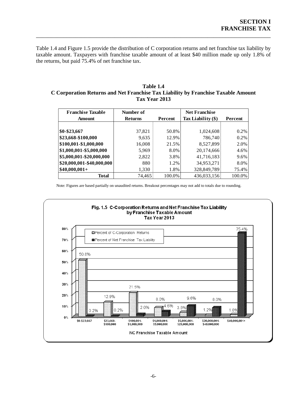Table 1.4 and Figure 1.5 provide the distribution of C corporation returns and net franchise tax liability by taxable amount. Taxpayers with franchise taxable amount of at least \$40 million made up only 1.8% of the returns, but paid 75.4% of net franchise tax.

\_\_\_\_\_\_\_\_\_\_\_\_\_\_\_\_\_\_\_\_\_\_\_\_\_\_\_\_\_\_\_\_\_\_\_\_\_\_\_\_\_\_\_\_\_\_\_\_\_\_\_\_\_\_\_\_\_\_\_\_\_\_\_\_\_\_\_\_\_\_\_\_\_\_\_\_\_\_

#### <span id="page-8-0"></span>**Table 1.4 C Corporation Returns and Net Franchise Tax Liability by Franchise Taxable Amount Tax Year 2013**

| <b>Franchise Taxable</b>  | Number of                 |        | <b>Net Franchise</b> |         |
|---------------------------|---------------------------|--------|----------------------|---------|
| <b>Amount</b>             | <b>Returns</b><br>Percent |        | Tax Liability $(\$)$ | Percent |
|                           |                           |        |                      |         |
| \$0-\$23,667              | 37,821                    | 50.8%  | 1,024,608            | 0.2%    |
| \$23,668-\$100,000        | 9,635                     | 12.9%  | 786,740              | 0.2%    |
| \$100,001-\$1,000,000     | 16,008                    | 21.5%  | 8,527,899            | 2.0%    |
| \$1,000,001-\$5,000,000   | 5,969                     | 8.0%   | 20,174,666           | 4.6%    |
| \$5,000,001-\$20,000,000  | 2,822                     | 3.8%   | 41,716,183           | 9.6%    |
| \$20,000,001-\$40,000,000 | 880                       | 1.2%   | 34,953,271           | 8.0%    |
| $$40,000,001+$            | 1,330                     | 1.8%   | 328,849,789          | 75.4%   |
| Total                     | 74,465                    | 100.0% | 436,033,156          | 100.0%  |

Note: Figures are based partially on unaudited returns. Breakout percentages may not add to totals due to rounding.

<span id="page-8-1"></span>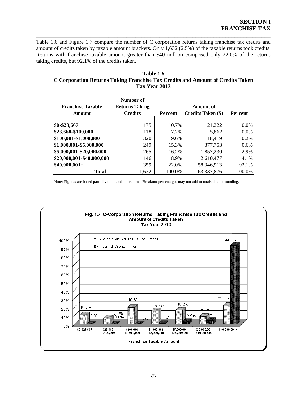Table 1.6 and Figure 1.7 compare the number of C corporation returns taking franchise tax credits and amount of credits taken by taxable amount brackets. Only 1,632 (2.5%) of the taxable returns took credits. Returns with franchise taxable amount greater than \$40 million comprised only 22.0% of the returns taking credits, but 92.1% of the credits taken.

\_\_\_\_\_\_\_\_\_\_\_\_\_\_\_\_\_\_\_\_\_\_\_\_\_\_\_\_\_\_\_\_\_\_\_\_\_\_\_\_\_\_\_\_\_\_\_\_\_\_\_\_\_\_\_\_\_\_\_\_\_\_\_\_\_\_\_\_\_\_\_\_\_\_\_\_\_\_

<span id="page-9-0"></span>

| Table 1.6                                                                      |
|--------------------------------------------------------------------------------|
| C Corporation Returns Taking Franchise Tax Credits and Amount of Credits Taken |
| Tax Year 2013                                                                  |

| <b>Franchise Taxable</b>  | Number of<br><b>Returns Taking</b> |                | Amount of          |         |
|---------------------------|------------------------------------|----------------|--------------------|---------|
| Amount                    | <b>Credits</b>                     | <b>Percent</b> | Credits Taken (\$) | Percent |
|                           |                                    |                |                    |         |
| \$0-\$23,667              | 175                                | 10.7%          | 21,222             | 0.0%    |
| \$23,668-\$100,000        | 118                                | 7.2%           | 5,862              | $0.0\%$ |
| \$100,001-\$1,000,000     | 320                                | 19.6%          | 118,419            | 0.2%    |
| \$1,000,001-\$5,000,000   | 249                                | 15.3%          | 377,753            | 0.6%    |
| \$5,000,001-\$20,000,000  | 265                                | 16.2%          | 1,857,230          | 2.9%    |
| \$20,000,001-\$40,000,000 | 146                                | 8.9%           | 2,610,477          | 4.1%    |
| $$40,000,001+$            | 359                                | 22.0%          | 58,346,913         | 92.1%   |
| Total                     | 1,632                              | 100.0%         | 63,337,876         | 100.0%  |

Note: Figures are based partially on unaudited returns. Breakout percentages may not add to totals due to rounding.

<span id="page-9-1"></span>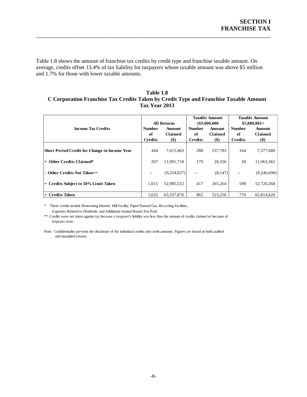Table 1.8 shows the amount of franchise tax credits by credit type and franchise taxable amount. On average, credits offset 13.4% of tax liability for taxpayers whose taxable amount was above \$5 million and 1.7% for those with lower taxable amounts.

\_\_\_\_\_\_\_\_\_\_\_\_\_\_\_\_\_\_\_\_\_\_\_\_\_\_\_\_\_\_\_\_\_\_\_\_\_\_\_\_\_\_\_\_\_\_\_\_\_\_\_\_\_\_\_\_\_\_\_\_\_\_\_\_\_\_\_\_\_\_\_\_\_\_\_\_\_\_

#### <span id="page-10-0"></span>**Table 1.8 C Corporation Franchise Tax Credits Taken by Credit Type and Franchise Taxable Amount Tax Year 2013**

|                                                      |                | <b>All Returns</b> |                | <b>Taxable Amount</b><br>$\leq$ \$5,000,000 |                | <b>Taxable Amount</b><br>$$5,000,001+$ |  |
|------------------------------------------------------|----------------|--------------------|----------------|---------------------------------------------|----------------|----------------------------------------|--|
| <b>Income Tax Credits</b>                            | <b>Number</b>  | <b>Amount</b>      | <b>Number</b>  | Amount                                      | <b>Number</b>  | <b>Amount</b>                          |  |
|                                                      | оf             | Claimed            | оf             | Claimed                                     | of             | Claimed                                |  |
|                                                      | <b>Credits</b> | $($ \$             | <b>Credits</b> | $($)$                                       | <b>Credits</b> | $($)$                                  |  |
| <b>Short Period Credit for Change in Income Year</b> | 444            | 7,615,463          | 280            | 237,783                                     | 164            | 7,377,680                              |  |
| + Other Credits Claimed*                             | 207            | 11,991,718         | 179            | 28,356                                      | 28             | 11,963,362                             |  |
| - Other Credits Not Taken **                         | --             | (9,254,837)        | --             | (8,147)                                     | --             | (9,246,690)                            |  |
| + Credits Subject to 50% Limit Taken                 | 1,015          | 52,985,532         | 417            | 265,264                                     | 598            | 52,720,268                             |  |
| $=$ Credits Taken                                    | 1.632          | 63.337.876         | 862            | 523.256                                     | 770            | 62.814.620                             |  |

\* These credits include Renovating Historic Mill Facility, Piped Natural Gas, Recycling Facilities, Expenses Related to Dividends, and Additional Annual Report Fee Paid.

\*\* Credits were not taken against tax because a taxpayer's liability was less than the amount of credits claimed or because of taxpayer error.

Note: Confidentiality prevents the disclosure of the individual credits and credit amounts. Figures are based on both audited and unaudited returns.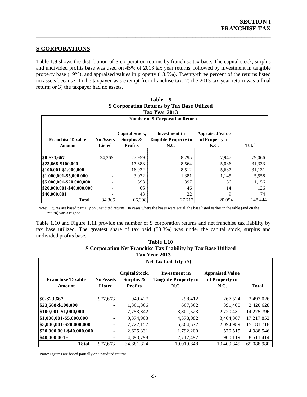#### <span id="page-11-0"></span>**S CORPORATIONS**

Table 1.9 shows the distribution of S corporation returns by franchise tax base. The capital stock, surplus and undivided profits base was used on 45% of 2013 tax year returns, followed by investment in tangible property base (19%), and appraised values in property (13.5%). Twenty-three percent of the returns listed no assets because: 1) the taxpayer was exempt from franchise tax; 2) the 2013 tax year return was a final return; or 3) the taxpayer had no assets.

\_\_\_\_\_\_\_\_\_\_\_\_\_\_\_\_\_\_\_\_\_\_\_\_\_\_\_\_\_\_\_\_\_\_\_\_\_\_\_\_\_\_\_\_\_\_\_\_\_\_\_\_\_\_\_\_\_\_\_\_\_\_\_\_\_\_\_\_\_\_\_\_\_\_\_\_\_\_

<span id="page-11-1"></span>

|                           |                  |                                        | Tax Year 2013                                       |                                          |              |  |  |
|---------------------------|------------------|----------------------------------------|-----------------------------------------------------|------------------------------------------|--------------|--|--|
|                           |                  | <b>Number of S-Corporation Returns</b> |                                                     |                                          |              |  |  |
| <b>Franchise Taxable</b>  | <b>No Assets</b> | Capital Stock,<br>Surplus $\&$         | <b>Investment in</b><br><b>Tangible Property in</b> | <b>Appraised Value</b><br>of Property in |              |  |  |
| Amount                    | <b>Listed</b>    | <b>Profits</b>                         | <b>N.C.</b>                                         | N.C.                                     | <b>Total</b> |  |  |
|                           |                  |                                        |                                                     |                                          |              |  |  |
| \$0-\$23,667              | 34,365           | 27,959                                 | 8,795                                               | 7,947                                    | 79,066       |  |  |
| \$23,668-\$100,000        |                  | 17,683                                 | 8,564                                               | 5,086                                    | 31,333       |  |  |
| \$100,001-\$1,000,000     |                  | 16,932                                 | 8,512                                               | 5,687                                    | 31,131       |  |  |
| \$1,000,001-\$5,000,000   |                  | 3,032                                  | 1,381                                               | 1,145                                    | 5,558        |  |  |
| \$5,000,001-\$20,000,000  |                  | 593                                    | 397                                                 | 166                                      | 1,156        |  |  |
| \$20,000,001-\$40,000,000 |                  | 66                                     | 46                                                  | 14                                       | 126          |  |  |
| $$40,000,001+$            |                  | 43                                     | 22                                                  | 9                                        | 74           |  |  |
| <b>Total</b>              | 34,365           | 66.308                                 | 27,717                                              | 20,054                                   | 148,444      |  |  |

## **Table 1.9 S Corporation Returns by Tax Base Utilized**

Note: Figures are based partially on unaudited returns. In cases where the bases were equal, the base listed earlier in the table (and on the return) was assigned

<span id="page-11-2"></span>Table 1.10 and Figure 1.11 provide the number of S corporation returns and net franchise tax liability by tax base utilized. The greatest share of tax paid (53.3%) was under the capital stock, surplus and undivided profits base.

| <b>Table 1.10</b>                                              |
|----------------------------------------------------------------|
| S Corporation Net Franchise Tax Liability by Tax Base Utilized |
| Tax Year 2013                                                  |

|                                    |                                   | Net Tax Liability (\$)                          |                                                             |                                                         |              |  |  |  |
|------------------------------------|-----------------------------------|-------------------------------------------------|-------------------------------------------------------------|---------------------------------------------------------|--------------|--|--|--|
| <b>Franchise Taxable</b><br>Amount | <b>No Assets</b><br><b>Listed</b> | CapitalStock,<br>Surplus $\&$<br><b>Profits</b> | Investment in<br><b>Tangible Property in</b><br><b>N.C.</b> | <b>Appraised Value</b><br>of Property in<br><b>N.C.</b> | <b>Total</b> |  |  |  |
|                                    |                                   |                                                 |                                                             |                                                         |              |  |  |  |
| \$0-\$23,667                       | 977,663                           | 949,427                                         | 298,412                                                     | 267,524                                                 | 2,493,026    |  |  |  |
| \$23,668-\$100,000                 | ۰                                 | 1,361,866                                       | 667,362                                                     | 391,400                                                 | 2,420,628    |  |  |  |
| \$100,001-\$1,000,000              | -                                 | 7,753,842                                       | 3,801,523                                                   | 2,720,431                                               | 14,275,796   |  |  |  |
| \$1,000,001-\$5,000,000            | ۰                                 | 9,374,903                                       | 4,378,082                                                   | 3,464,867                                               | 17,217,852   |  |  |  |
| \$5,000,001-\$20,000,000           | -                                 | 7,722,157                                       | 5,364,572                                                   | 2,094,989                                               | 15,181,718   |  |  |  |
| $ $20,000,001$ -\$40,000,000       | ٠                                 | 2,625,831                                       | 1,792,200                                                   | 570,515                                                 | 4,988,546    |  |  |  |
| $$40,000,001+$                     | Ξ.                                | 4,893,798                                       | 2,717,497                                                   | 900,119                                                 | 8,511,414    |  |  |  |
| <b>Total</b>                       | 977,663                           | 34.681.824                                      | 19.019.648                                                  | 10.409.845                                              | 65.088.980   |  |  |  |

Note: Figures are based partially on unaudited returns.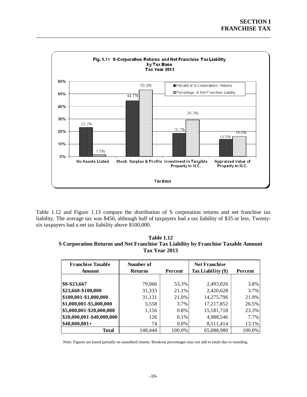<span id="page-12-0"></span>

\_\_\_\_\_\_\_\_\_\_\_\_\_\_\_\_\_\_\_\_\_\_\_\_\_\_\_\_\_\_\_\_\_\_\_\_\_\_\_\_\_\_\_\_\_\_\_\_\_\_\_\_\_\_\_\_\_\_\_\_\_\_\_\_\_\_\_\_\_\_\_\_\_\_\_\_\_\_

Table 1.12 and Figure 1.13 compare the distribution of S corporation returns and net franchise tax liability. The average tax was \$456, although half of taxpayers had a tax liability of \$35 or less. Twentysix taxpayers had a net tax liability above \$100,000.

<span id="page-12-1"></span>

| <b>Table 1.12</b>                                                                 |
|-----------------------------------------------------------------------------------|
| S Corporation Returns and Net Franchise Tax Liability by Franchise Taxable Amount |
| Tax Year 2013                                                                     |

| <b>Franchise Taxable</b><br>Amount | Number of<br><b>Returns</b> | Percent | <b>Net Franchise</b><br>Tax Liability $(\$)$ | Percent |
|------------------------------------|-----------------------------|---------|----------------------------------------------|---------|
|                                    |                             |         |                                              |         |
| $$0 - $23,667$                     | 79,066                      | 53.3%   | 2,493,026                                    | 3.8%    |
| \$23,668-\$100,000                 | 31,333                      | 21.1%   | 2,420,628                                    | 3.7%    |
| \$100,001-\$1,000,000              | 31,131                      | 21.0%   | 14,275,796                                   | 21.9%   |
| \$1,000,001-\$5,000,000            | 5,558                       | 3.7%    | 17,217,852                                   | 26.5%   |
| \$5,000,001-\$20,000,000           | 1,156                       | 0.8%    | 15,181,718                                   | 23.3%   |
| \$20,000,001-\$40,000,000          | 126                         | $0.1\%$ | 4,988,546                                    | 7.7%    |
| $$40,000,001+$                     | 74                          | $0.0\%$ | 8,511,414                                    | 13.1%   |
| Total                              | 148,444                     | 100.0%  | 65,088,980                                   | 100.0%  |

Note: Figures are based partially on unaudited returns. Breakout percentages may not add to totals due to rounding.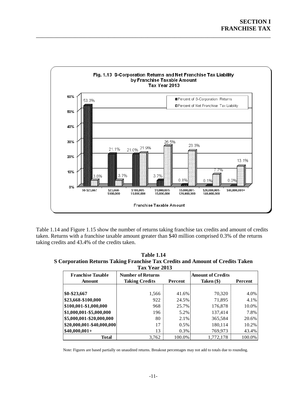

\_\_\_\_\_\_\_\_\_\_\_\_\_\_\_\_\_\_\_\_\_\_\_\_\_\_\_\_\_\_\_\_\_\_\_\_\_\_\_\_\_\_\_\_\_\_\_\_\_\_\_\_\_\_\_\_\_\_\_\_\_\_\_\_\_\_\_\_\_\_\_\_\_\_\_\_\_\_

<span id="page-13-0"></span>Table 1.14 and Figure 1.15 show the number of returns taking franchise tax credits and amount of credits taken. Returns with a franchise taxable amount greater than \$40 million comprised 0.3% of the returns taking credits and 43.4% of the credits taken.

<span id="page-13-1"></span>**Table 1.14 S Corporation Returns Taking Franchise Tax Credits and Amount of Credits Taken Tax Year 2013**

| <b>Franchise Taxable</b><br><b>Amount</b> | <b>Number of Returns</b><br><b>Taking Credits</b> | Percent | <b>Amount of Credits</b><br>Taken (\$) | Percent |  |  |  |  |  |
|-------------------------------------------|---------------------------------------------------|---------|----------------------------------------|---------|--|--|--|--|--|
|                                           |                                                   |         |                                        |         |  |  |  |  |  |
| \$0-\$23,667                              | 1,566                                             | 41.6%   | 70,320                                 | 4.0%    |  |  |  |  |  |
| \$23,668-\$100,000                        | 922                                               | 24.5%   | 71,895                                 | 4.1%    |  |  |  |  |  |
| \$100,001-\$1,000,000                     | 968                                               | 25.7%   | 176,878                                | 10.0%   |  |  |  |  |  |
| \$1,000,001-\$5,000,000                   | 196                                               | 5.2%    | 137,414                                | 7.8%    |  |  |  |  |  |
| \$5,000,001-\$20,000,000                  | 80                                                | 2.1%    | 365,584                                | 20.6%   |  |  |  |  |  |
| \$20,000,001-\$40,000,000                 | 17                                                | 0.5%    | 180,114                                | 10.2%   |  |  |  |  |  |
| $$40,000,001+$                            | 13                                                | 0.3%    | 769,973                                | 43.4%   |  |  |  |  |  |
| <b>Total</b>                              | 3.762                                             | 100.0%  | 1,772,178                              | 100.0%  |  |  |  |  |  |

Note: Figures are based partially on unaudited returns. Breakout percentages may not add to totals due to rounding.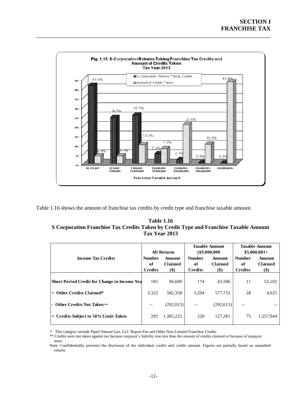<span id="page-14-0"></span>

\_\_\_\_\_\_\_\_\_\_\_\_\_\_\_\_\_\_\_\_\_\_\_\_\_\_\_\_\_\_\_\_\_\_\_\_\_\_\_\_\_\_\_\_\_\_\_\_\_\_\_\_\_\_\_\_\_\_\_\_\_\_\_\_\_\_\_\_\_\_\_\_\_\_\_\_\_\_

<span id="page-14-1"></span>Table 1.16 shows the amount of franchise tax credits by credit type and franchise taxable amount.

| <b>Table 1.16</b>                                                                     |
|---------------------------------------------------------------------------------------|
| S Corporation Franchise Tax Credits Taken by Credit Type and Franchise Taxable Amount |
| Tax Year 2013                                                                         |

|                                                     | <b>All Returns</b>                    |                                        |                                       | <b>Taxable Amount</b><br>$\leq$ \$5,000,000 | <b>Taxable Amount</b><br>$$5,000,001+$ |                                 |
|-----------------------------------------------------|---------------------------------------|----------------------------------------|---------------------------------------|---------------------------------------------|----------------------------------------|---------------------------------|
| <b>Income Tax Credits</b>                           | <b>Number</b><br>of<br><b>Credits</b> | <b>Amount</b><br><b>Claimed</b><br>\$) | <b>Number</b><br>of<br><b>Credits</b> | Amount<br><b>Claimed</b><br>\$)             | <b>Number</b><br>of<br><b>Credits</b>  | Amount<br><b>Claimed</b><br>\$) |
| <b>Short Period Credit for Change in Income Yea</b> | 185                                   | 96.608                                 | 174                                   | 43,506                                      | 11                                     | 53,102                          |
| $+$ Other Credits Claimed*                          | 3,322                                 | 582,358                                | 3.294                                 | 577,733                                     | 28                                     | 4,625                           |
| - Other Credits Not Taken **                        |                                       | (292,013)                              | $- -$                                 | (292,013)                                   |                                        |                                 |
| <b>Credits Subject to 50% Limit Taken</b><br>$+$    | 295                                   | 1,385,225                              | 220                                   | 127.281                                     | 75                                     | 1,257,944                       |

\* This category include Piped Natural Gas, LLC Report Fee and Other Non-Limited Franchise Credits

\*\* Credits were not taken against tax because taxpayer's liability was less than the amount of credits claimed or because of taxpayer error.

Note: Confidentiality prevents the disclosure of the individual credits and credits amount. Figures are partially based on unaudited returns.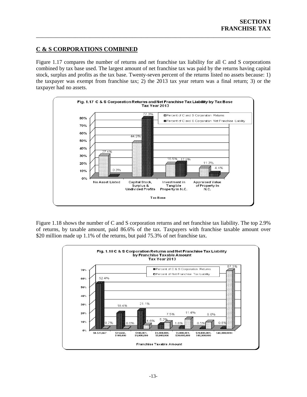## <span id="page-15-0"></span>**C & S CORPORATIONS COMBINED**

Figure 1.17 compares the number of returns and net franchise tax liability for all C and S corporations combined by tax base used. The largest amount of net franchise tax was paid by the returns having capital stock, surplus and profits as the tax base. Twenty-seven percent of the returns listed no assets because: 1) the taxpayer was exempt from franchise tax; 2) the 2013 tax year return was a final return; 3) or the taxpayer had no assets.

\_\_\_\_\_\_\_\_\_\_\_\_\_\_\_\_\_\_\_\_\_\_\_\_\_\_\_\_\_\_\_\_\_\_\_\_\_\_\_\_\_\_\_\_\_\_\_\_\_\_\_\_\_\_\_\_\_\_\_\_\_\_\_\_\_\_\_\_\_\_\_\_\_\_\_\_\_\_



Figure 1.18 shows the number of C and S corporation returns and net franchise tax liability. The top 2.9% of returns, by taxable amount, paid 86.6% of the tax. Taxpayers with franchise taxable amount over \$20 million made up 1.1% of the returns, but paid 75.3% of net franchise tax.

<span id="page-15-1"></span>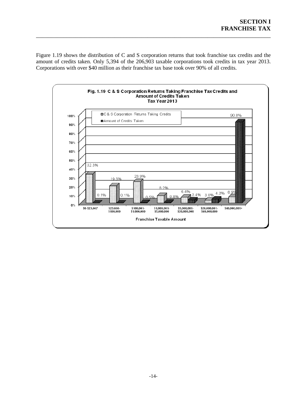Figure 1.19 shows the distribution of C and S corporation returns that took franchise tax credits and the amount of credits taken. Only 5,394 of the 206,903 taxable corporations took credits in tax year 2013. Corporations with over \$40 million as their franchise tax base took over 90% of all credits.

\_\_\_\_\_\_\_\_\_\_\_\_\_\_\_\_\_\_\_\_\_\_\_\_\_\_\_\_\_\_\_\_\_\_\_\_\_\_\_\_\_\_\_\_\_\_\_\_\_\_\_\_\_\_\_\_\_\_\_\_\_\_\_\_\_\_\_\_\_\_\_\_\_\_\_\_\_\_

<span id="page-16-0"></span>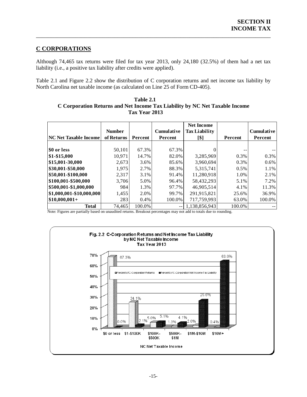## <span id="page-17-0"></span>**C CORPORATIONS**

Although 74,465 tax returns were filed for tax year 2013, only 24,180 (32.5%) of them had a net tax liability (i.e., a positive tax liability after credits were applied).

\_\_\_\_\_\_\_\_\_\_\_\_\_\_\_\_\_\_\_\_\_\_\_\_\_\_\_\_\_\_\_\_\_\_\_\_\_\_\_\_\_\_\_\_\_\_\_\_\_\_\_\_\_\_\_\_\_\_\_\_\_\_\_\_\_\_\_\_\_\_\_\_\_\_\_\_\_\_

Table 2.1 and Figure 2.2 show the distribution of C corporation returns and net income tax liability by North Carolina net taxable income (as calculated on Line 25 of Form CD-405).

**Net Income Number Cumulative Tax Liability Cumulative NC Net Taxable Income of Returns | Percent | Percent | [\$] | Percent | Percent \$0 or less**  $\begin{array}{|c|c|c|c|c|} \hline \textbf{50,101} & \textbf{67.3\%} & \textbf{67.3\%} & \textbf{0} & \textbf{ --} & \textbf{ --} \ \hline \end{array}$ **\$1-\$15,000** 10,971 14.7% 82.0% 3,285,969 0.3% 0.3% **\$15,001-30,000** 2,673 3.6% 85.6% 3,960,694 0.3% 0.6% **\$30,001-\$50,000** 1,975 2.7% 88.3% 5,315,741 0.5% 1.1% **\$50,001-\$100,000** 2.317 3.1% 91.4% 11.280.918 1.0% 2.1% **\$100,001-\$500,000** | 3,706 5.0% 96.4% 58,432,293 5.1% 7.2% **\$500,001-\$1,000,000** 984 1.3% 97.7% 46,905,514 4.1% 11.3% **\$1,000,001-\$10,000,000** 1,455 2.0% 99.7% 291,915,821 25.6% 36.9% **\$10,000,001+** 283 0.4% 100.0% 717,759,993 63.0% 100.0% **Total** 74,465 100.0% -- 1,138,856,943 100.0%

<span id="page-17-1"></span>

| Table 2.1                                                                   |
|-----------------------------------------------------------------------------|
| C Corporation Returns and Net Income Tax Liability by NC Net Taxable Income |
| Tax Year 2013                                                               |

Note: Figures are partially based on unaudited returns. Breakout percentages may not add to totals due to rounding.

<span id="page-17-2"></span>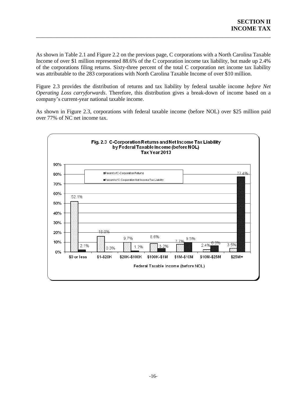As shown in Table 2.1 and Figure 2.2 on the previous page, C corporations with a North Carolina Taxable Income of over \$1 million represented 88.6% of the C corporation income tax liability, but made up 2.4% of the corporations filing returns. Sixty-three percent of the total C corporation net income tax liability was attributable to the 283 corporations with North Carolina Taxable Income of over \$10 million.

\_\_\_\_\_\_\_\_\_\_\_\_\_\_\_\_\_\_\_\_\_\_\_\_\_\_\_\_\_\_\_\_\_\_\_\_\_\_\_\_\_\_\_\_\_\_\_\_\_\_\_\_\_\_\_\_\_\_\_\_\_\_\_\_\_\_\_\_\_\_\_\_\_\_\_\_\_\_

Figure 2.3 provides the distribution of returns and tax liability by federal taxable income *before Net Operating Loss carryforwards*. Therefore, this distribution gives a break-down of income based on a company's current-year national taxable income.

As shown in Figure 2.3, corporations with federal taxable income (before NOL) over \$25 million paid over 77% of NC net income tax.

<span id="page-18-0"></span>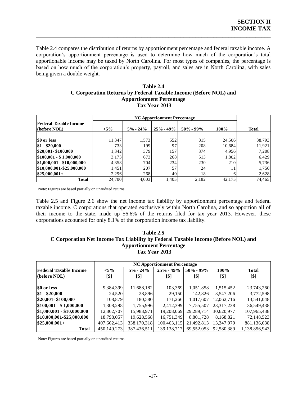<span id="page-19-0"></span>Table 2.4 compares the distribution of returns by apportionment percentage and federal taxable income. A corporation's apportionment percentage is used to determine how much of the corporation's total apportionable income may be taxed by North Carolina. For most types of companies, the percentage is based on how much of the corporation's property, payroll, and sales are in North Carolina, with sales being given a double weight.

\_\_\_\_\_\_\_\_\_\_\_\_\_\_\_\_\_\_\_\_\_\_\_\_\_\_\_\_\_\_\_\_\_\_\_\_\_\_\_\_\_\_\_\_\_\_\_\_\_\_\_\_\_\_\_\_\_\_\_\_\_\_\_\_\_\_\_\_\_\_\_\_\_\_\_\_\_\_

#### **Table 2.4 C Corporation Returns by Federal Taxable Income (Before NOL) and Apportionment Percentage Tax Year 2013**

| Federal Taxable Income     |         |              |               |              |        |              |
|----------------------------|---------|--------------|---------------|--------------|--------|--------------|
| (before NOL)               | $< 5\%$ | $5\% - 24\%$ | $25\% - 49\%$ | $50\%$ - 99% | 100%   | <b>Total</b> |
|                            |         |              |               |              |        |              |
| <b>SO</b> or less          | 11.347  | 1,573        | 552           | 815          | 24,506 | 38,793       |
| $$1 - $20,000$             | 733     | 199          | 97            | 208          | 10,684 | 11,921       |
| \$20,001-\$100,000         | 1,342   | 379          | 157           | 374          | 4,956  | 7,208        |
| \$100,001 - \$1,000,000    | 3,173   | 673          | 268           | 513          | 1,802  | 6,429        |
| \$1,000,001 - \$10,000,000 | 4,358   | 704          | 234           | 230          | 210    | 5,736        |
| \$10,000,001-\$25,000,000  | 1,451   | 207          | 57            | 24           | 11     | 1,750        |
| $ $25,000,001+$            | 2,296   | 268          | 40            | 18           |        | 2,628        |
| Total                      | 24,700  | 4,003        | 1,405         | 2,182        | 42,175 | 74,465       |

Note: Figures are based partially on unaudited returns.

Table 2.5 and Figure 2.6 show the net income tax liability by apportionment percentage and federal taxable income. C corporations that operated exclusively within North Carolina, and so apportion all of their income to the state, made up 56.6% of the returns filed for tax year 2013. However, these corporations accounted for only 8.1% of the corporation income tax liability.

#### <span id="page-19-1"></span>**Table 2.5 C Corporation Net Income Tax Liability by Federal Taxable Income (Before NOL) and Apportionment Percentage Tax Year 2013**

|                               |             | <b>NC Apportionment Percentage</b> |               |               |            |               |  |  |  |
|-------------------------------|-------------|------------------------------------|---------------|---------------|------------|---------------|--|--|--|
| <b>Federal Taxable Income</b> | $< 5\%$     | $5\% - 24\%$                       | $25\% - 49\%$ | $50\% - 99\%$ | 100%       | <b>Total</b>  |  |  |  |
| (before $NOL$ )               | [\$]        | [\$]                               | [\$]          | [\$]          | [\$]       | [\$]          |  |  |  |
|                               |             |                                    |               |               |            |               |  |  |  |
| \$0 or less                   | 9,384,399   | 11,688,182                         | 103,369       | 1,051,858     | 1,515,452  | 23,743,260    |  |  |  |
| $$1 - $20,000$                | 24,520      | 28,896                             | 29,150        | 142,826       | 3,547,206  | 3,772,598     |  |  |  |
| \$20,001 - \$100,000          | 108.879     | 180,580                            | 171,266       | 1,017,607     | 12.062.716 | 13,541,048    |  |  |  |
| $\$100,001 - \$1,000,000$     | 1,308,298   | 1,755,996                          | 2,412,399     | 7,755,507     | 23.317.238 | 36,549,438    |  |  |  |
| $$1,000,001 - $10,000,000$    | 12,862,707  | 15,983,971                         | 19,208,069    | 29,289,714    | 30,620,977 | 107,965,438   |  |  |  |
| \$10,000,001-\$25,000,000     | 18,798,057  | 19,628,568                         | 16,751,349    | 8,801,728     | 8,168,821  | 72,148,523    |  |  |  |
| $\$25,000,001+$               | 407,662,413 | 338,170,318                        | 100,463,115   | 21,492,813    | 13,347,979 | 881,136,638   |  |  |  |
| <b>Total</b>                  | 450,149,273 | 387,436,511                        | 139,138,717   | 69,552,053    | 92,580,389 | 1,138,856,943 |  |  |  |

Note: Figures are based partially on unaudited returns.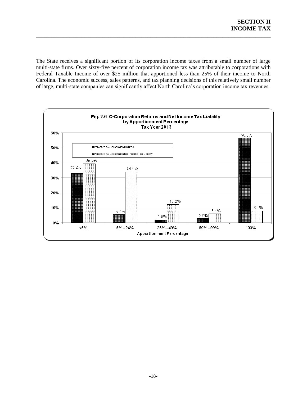The State receives a significant portion of its corporation income taxes from a small number of large multi-state firms. Over sixty-five percent of corporation income tax was attributable to corporations with Federal Taxable Income of over \$25 million that apportioned less than 25% of their income to North Carolina. The economic success, sales patterns, and tax planning decisions of this relatively small number of large, multi-state companies can significantly affect North Carolina's corporation income tax revenues.

\_\_\_\_\_\_\_\_\_\_\_\_\_\_\_\_\_\_\_\_\_\_\_\_\_\_\_\_\_\_\_\_\_\_\_\_\_\_\_\_\_\_\_\_\_\_\_\_\_\_\_\_\_\_\_\_\_\_\_\_\_\_\_\_\_\_\_\_\_\_\_\_\_\_\_\_\_\_

<span id="page-20-0"></span>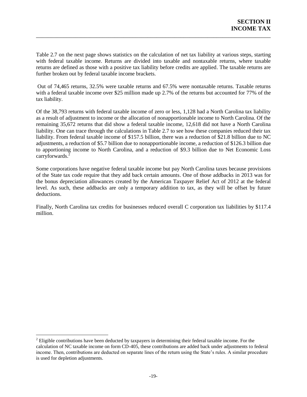Table 2.7 on the next page shows statistics on the calculation of net tax liability at various steps, starting with federal taxable income. Returns are divided into taxable and nontaxable returns, where taxable returns are defined as those with a positive tax liability before credits are applied. The taxable returns are further broken out by federal taxable income brackets.

\_\_\_\_\_\_\_\_\_\_\_\_\_\_\_\_\_\_\_\_\_\_\_\_\_\_\_\_\_\_\_\_\_\_\_\_\_\_\_\_\_\_\_\_\_\_\_\_\_\_\_\_\_\_\_\_\_\_\_\_\_\_\_\_\_\_\_\_\_\_\_\_\_\_\_\_\_\_

Out of 74,465 returns, 32.5% were taxable returns and 67.5% were nontaxable returns. Taxable returns with a federal taxable income over \$25 million made up 2.7% of the returns but accounted for 77% of the tax liability.

Of the 38,793 returns with federal taxable income of zero or less, 1,128 had a North Carolina tax liability as a result of adjustment to income or the allocation of nonapportionable income to North Carolina. Of the remaining 35,672 returns that did show a federal taxable income, 12,618 did not have a North Carolina liability. One can trace through the calculations in Table 2.7 to see how these companies reduced their tax liability. From federal taxable income of \$157.5 billion, there was a reduction of \$21.8 billion due to NC adjustments, a reduction of \$5.7 billion due to nonapportionable income, a reduction of \$126.3 billion due to apportioning income to North Carolina, and a reduction of \$9.3 billion due to Net Economic Loss carryforwards.<sup>2</sup>

Some corporations have negative federal taxable income but pay North Carolina taxes because provisions of the State tax code require that they add back certain amounts. One of those addbacks in 2013 was for the bonus depreciation allowances created by the American Taxpayer Relief Act of 2012 at the federal level. As such, these addbacks are only a temporary addition to tax, as they will be offset by future deductions.

Finally, North Carolina tax credits for businesses reduced overall C corporation tax liabilities by \$117.4 million.

 $\overline{a}$ 

<sup>&</sup>lt;sup>2</sup> Eligible contributions have been deducted by taxpayers in determining their federal taxable income. For the calculation of NC taxable income on form CD-405, these contributions are added back under adjustments to federal income. Then, contributions are deducted on separate lines of the return using the State's rules. A similar procedure is used for depletion adjustments.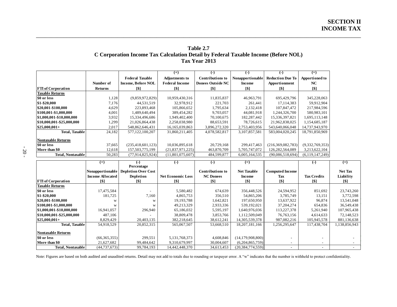#### **Table 2.7 C Corporation Income Tax Calculation Detail by Federal Taxable Income (Before NOL) Tax Year 2013**

\_\_\_\_\_\_\_\_\_\_\_\_\_\_\_\_\_\_\_\_\_\_\_\_\_\_\_\_\_\_\_\_\_\_\_\_\_\_\_\_\_\_\_\_\_\_\_\_\_\_\_\_\_\_\_\_\_\_\_\_\_\_\_\_\_\_\_\_\_\_\_\_\_\_\_\_\_\_\_\_\_\_\_\_\_\_\_\_\_\_\_\_\_\_\_\_\_\_\_\_\_\_\_\_\_\_\_\_

|                           |                |                           | $^{(+)}$              | $(-)$                    | ( – )             | $(-)$                   | $(=)$                 |
|---------------------------|----------------|---------------------------|-----------------------|--------------------------|-------------------|-------------------------|-----------------------|
|                           |                | <b>Federal Taxable</b>    | <b>Adjustments to</b> | <b>Contributions to</b>  | Nonapportionable  | <b>Reduction Due To</b> | <b>Apportioned to</b> |
|                           | Number of      | <b>Income, Before NOL</b> | <b>Federal Income</b> | <b>Donees Outside NC</b> | <b>Income</b>     | Apportionment           | NC.                   |
| <b>FTI</b> of Corporation | <b>Returns</b> | [\$]                      | <b>[\$]</b>           | [\$]                     | $\lceil $ \rceil$ | [\$]                    | [\$]                  |
| <b>Taxable Returns</b>    |                |                           |                       |                          |                   |                         |                       |
| \$0 or less               | 1,128          | (9,859,972,829)           | 10,959,430,316        | 11,835,837               | 46,963,791        | 695,429,796             | 345,228,063           |
| \$1-\$20,000              | 7,176          | 44,531,519                | 32,978,912            | 221,703                  | 261,441           | 17,114,383              | 59,912,904            |
| \$20,001-\$100,000        | 4,629          | 223,893,468               | 105,866,652           | 1,795,634                | 2,132,418         | 107,847,472             | 217,984,596           |
| \$100,001-\$1,000,000     | 4,001          | 1,489,640,494             | 389,454,282           | 9,703,057                | 44,081,918        | 1,244,326,700           | 580,983,101           |
| \$1,000,001-\$10,000,000  | 3.932          | 15,334,496,686            | 1,949,402,400         | 70,100,675               | 182,287,442       | 15,336,397,821          | 1,695,113,148         |
| \$10,000,001-\$25,000,000 | 1,299          | 21,026,864,438            | 2,258,038,980         | 88,653,591               | 78,726,615        | 21,962,838,025          | 1,154,685,187         |
| $$25,000,001+$            | 2,017          | 548,862,646,431           | 16,165,039,863        | 3,896,272,320            | 2,753,403,956     | 543,640,066,048         | 14,737,943,970        |
| <b>Total, Taxable</b>     | 24.182         | 577,122,100,207           | 31,860,211,405        | 4,078,582,817            | 3,107,857,581     | 583,004,020,245         | 18,791,850,969        |
| <b>Nontaxable Returns</b> |                |                           |                       |                          |                   |                         |                       |
| \$0 or less               | 37,665         | (235, 418, 601, 123)      | 10,036,895,618        | 20,729,168               | 299,417,463       | (216,369,082,783)       | (9,332,769,353)       |
| More than \$0             | 12,618         | 157,503,775,199           | (21,837,971,225)      | 463,870,709              | 5,705,747,072     | 126,282,564,089         | 3,213,622,104         |
| Total, Nontaxable         | 50,283         | (77.914.825.924)          | (11,801,075,607)      | 484,599,877              | 6.005.164.535     | (90,086,518,694)        | (6,119,147,249)       |

<span id="page-22-0"></span>

| $\sim$  |  |
|---------|--|
| ۰,<br>v |  |

|                           | $^{(+)}$                | ( – )                                  | $(-)$                    | ( – )                   | $(=)$               |                        | $(-)$              | $(=)$          |
|---------------------------|-------------------------|----------------------------------------|--------------------------|-------------------------|---------------------|------------------------|--------------------|----------------|
|                           |                         | Percentage                             |                          |                         |                     |                        |                    |                |
|                           |                         | Nonapportionable   Depletion Over Cost |                          | <b>Contributions to</b> | <b>Net Taxable</b>  | <b>Computed Income</b> |                    | <b>Net Tax</b> |
|                           | <b>Income Allocated</b> | <b>Depletion</b>                       | <b>Net Economic Loss</b> | <b>NC Donees</b>        | Income              | Tax                    | <b>Tax Credits</b> | Liability      |
| <b>FTI</b> of Corporation | $^{[$]}$                | [\$]                                   | $^{[S]}$                 | [\$]                    | [\$]                | $^{[S]}$               | [\$]               | [\$]           |
| <b>Taxable Returns</b>    |                         |                                        |                          |                         |                     |                        |                    |                |
| \$0 or less               | 17,475,584              |                                        | 5,580,482                | 674,639                 | 356,448,526         | 24,594,952             | 851,692            | 23,743,260     |
| \$1-\$20,000              | 181,725                 | 7,160                                  | 4,865,753                | 356,510                 | 54,865,206          | 3,785,749              | 13,151             | 3,772,598      |
| \$20,001-\$100,000        | W                       | W                                      | 19,193,788               | 1,642,821               | 197,650,950         | 13,637,922             | 96,874             | 13,541,048     |
| \$100,001-\$1,000,000     | W                       | W                                      | 49,213,329               | 2,933,336               | 539,192,021         | 37, 204, 274           | 654,836            | 36,549,438     |
| \$1,000,001-\$10,000,000  | 16,941,057              | 296,940                                | 65,186,032               | 5,595,197               | 1,640,976,036       | 113,227,378            | 5,261,940          | 107,965,438    |
| \$10,000,001-\$25,000,000 | 487,106                 |                                        | 38,809,478               | 3,853,766               | 1,112,509,049       | 76, 763, 156           | 4,614,633          | 72,148,523     |
| $$25,000,001+$            | 8,829,429               | 20,403,135                             | 382,218,645              | 38,612,241              | 14,305,539,378      | 987,082,216            | 105,945,578        | 881,136,638    |
| <b>Total, Taxable</b>     | 54,918,529              | 20,852,315                             | 565,067,507              | 53,668,510              | 18,207,181,166      | 1,256,295,647          | 117,438,704        | 1,138,856,943  |
| Nontaxable Returns        |                         |                                        |                          |                         |                     |                        |                    |                |
| \$0 or less               | (66,365,355)            | 299,551                                | 5,131,768,373            | 4,608,846               | (14, 179, 908, 800) |                        |                    |                |
| More than \$0             | 21,627,682              | 99,484,642                             | 9,310,679,997            | 30,004,607              | (6,204,865,759)     |                        |                    |                |
| Total, Nontaxable         | (44, 737, 673)          | 99,784,193                             | 14,442,448,370           | 34,613,453              | (20, 384, 774, 559) |                        |                    |                |

Note: Figures are based on both audited and unaudited returns. Detail may not add to totals due to rounding or taxpayer error. A "w" indicates that the number is withheld to protect confidentiality.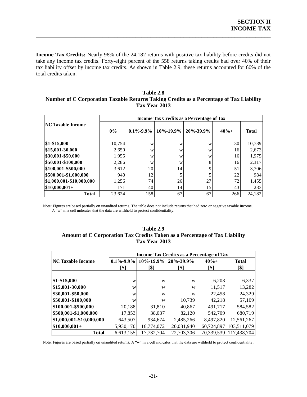**Income Tax Credits:** Nearly 98% of the 24,182 returns with positive tax liability before credits did not take any income tax credits. Forty-eight percent of the 558 returns taking credits had over 40% of their tax liability offset by income tax credits. As shown in Table 2.9, these returns accounted for 60% of the total credits taken.

\_\_\_\_\_\_\_\_\_\_\_\_\_\_\_\_\_\_\_\_\_\_\_\_\_\_\_\_\_\_\_\_\_\_\_\_\_\_\_\_\_\_\_\_\_\_\_\_\_\_\_\_\_\_\_\_\_\_\_\_\_\_\_\_\_\_\_\_\_\_\_\_\_\_\_\_\_\_

<span id="page-23-0"></span>

| Table 2.8                                                                               |
|-----------------------------------------------------------------------------------------|
| Number of C Corporation Taxable Returns Taking Credits as a Percentage of Tax Liability |
| <b>Tax Year 2013</b>                                                                    |

| <b>NC Taxable Income</b> | <b>Income Tax Credits as a Percentage of Tax</b> |                 |                 |           |         |              |  |  |  |
|--------------------------|--------------------------------------------------|-----------------|-----------------|-----------|---------|--------------|--|--|--|
|                          | $0\%$                                            | $0.1\% - 9.9\%$ | $10\% - 19.9\%$ | 20%-39.9% | $40% +$ | <b>Total</b> |  |  |  |
| $$1-$15,000$             | 10,754                                           | W               | W               | W         | 30      | 10,789       |  |  |  |
| \$15,001-30,000          | 2,650                                            | W               | W               | W         | 16      | 2,673        |  |  |  |
| \$30,001-\$50,000        | 1,955                                            | W               | W               | W         | 16      | 1,975        |  |  |  |
| \$50,001-\$100,000       | 2,286                                            | W               | W               | 8         | 16      | 2,317        |  |  |  |
| \$100,001-\$500,000      | 3,612                                            | 20              | 14              | Q         | 51      | 3,706        |  |  |  |
| \$500,001-\$1,000,000    | 940                                              | 12              |                 |           | 22      | 984          |  |  |  |
| \$1,000,001-\$10,000,000 | 1,256                                            | 74              | 26              | 27        | 72      | 1,455        |  |  |  |
| $$10,000,001+$           | 171                                              | 40              | 14              | 15        | 43      | 283          |  |  |  |
| <b>Total</b>             | 23.624                                           | 158             | 67              | 67        | 266     | 24,182       |  |  |  |

<span id="page-23-1"></span>Note: Figures are based partially on unaudited returns. The table does not include returns that had zero or negative taxable income. A "w" in a cell indicates that the data are withheld to protect confidentiality.

| Table 2.9                                                                  |
|----------------------------------------------------------------------------|
| Amount of C Corporation Tax Credits Taken as a Percentage of Tax Liability |
| Tax Year 2013                                                              |

|                          | <b>Income Tax Credits as a Percentage of Tax</b> |                 |                 |            |              |  |  |  |
|--------------------------|--------------------------------------------------|-----------------|-----------------|------------|--------------|--|--|--|
| <b>NC Taxable Income</b> | $0.1\% - 9.9\%$                                  | $10\% - 19.9\%$ | $20\% - 39.9\%$ | $40% +$    | <b>Total</b> |  |  |  |
|                          | [\$]                                             | [\$]            | [\$]            | [\$]       | [\$]         |  |  |  |
|                          |                                                  |                 |                 |            |              |  |  |  |
| \$1-\$15,000             | W                                                | W               | W               | 6,203      | 6,337        |  |  |  |
| \$15,001-30,000          | W                                                | W               | W               | 11,517     | 13,282       |  |  |  |
| \$30,001-\$50,000        | W                                                | W               | W               | 22,458     | 24,329       |  |  |  |
| \$50,001-\$100,000       | W                                                | W               | 10,739          | 42,218     | 57,109       |  |  |  |
| \$100,001-\$500,000      | 20,188                                           | 31,810          | 40,867          | 491,717    | 584,582      |  |  |  |
| \$500,001-\$1,000,000    | 17,853                                           | 38,037          | 82,120          | 542,709    | 680,719      |  |  |  |
| \$1,000,001-\$10,000,000 | 643,507                                          | 934,674         | 2,485,266       | 8,497,820  | 12,561,267   |  |  |  |
| $$10,000,001+$           | 5,930,170                                        | 16,774,072      | 20,081,940      | 60,724,897 | 103,511,079  |  |  |  |
| <b>Total</b>             | 6.613.155                                        | 17,782,704      | 22,703,306      | 70,339,539 | 117,438,704  |  |  |  |

Note: Figures are based partially on unaudited returns. A "w" in a cell indicates that the data are withheld to protect confidentiality.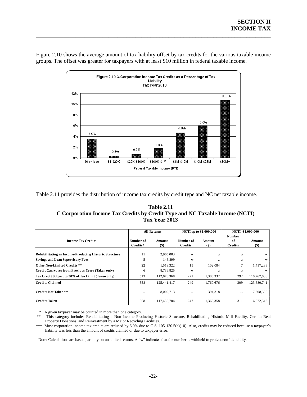

Figure 2.10 shows the average amount of tax liability offset by tax credits for the various taxable income groups. The offset was greater for taxpayers with at least \$10 million in federal taxable income.

\_\_\_\_\_\_\_\_\_\_\_\_\_\_\_\_\_\_\_\_\_\_\_\_\_\_\_\_\_\_\_\_\_\_\_\_\_\_\_\_\_\_\_\_\_\_\_\_\_\_\_\_\_\_\_\_\_\_\_\_\_\_\_\_\_\_\_\_\_\_\_\_\_\_\_\_\_\_

<span id="page-24-1"></span><span id="page-24-0"></span>Table 2.11 provides the distribution of income tax credits by credit type and NC net taxable income.

| <b>Table 2.11</b>                                                            |
|------------------------------------------------------------------------------|
| C Corporation Income Tax Credits by Credit Type and NC Taxable Income (NCTI) |
| Tax Year 2013                                                                |

|                                                       |                       | <b>All Returns</b> |                             | <b>NCTI</b> up to \$1,000,000 | NCTI>\$1,000,000                      |                   |
|-------------------------------------------------------|-----------------------|--------------------|-----------------------------|-------------------------------|---------------------------------------|-------------------|
| <b>Income Tax Credits</b>                             | Number of<br>Credits* | Amount<br>$($)$    | Number of<br><b>Credits</b> | Amount<br>$($ \$)             | <b>Number</b><br>of<br><b>Credits</b> | Amount<br>$($ \$) |
| Rehabilitating an Income-Producing Historic Structure | 11                    | 2,965,003          | W                           | W                             | W                                     | W                 |
| <b>Savings and Loan Supervisory Fees</b>              | 5                     | 146,899            | W                           | W                             | W                                     | W                 |
| <b>Other Non-Limited Credits **</b>                   | 22                    | 1,519,322          | 15                          | 102,084                       |                                       | 1,417,238         |
| Credit Carryover from Previous Years (Taken only)     | 6                     | 8,736,825          | W                           | W                             | W                                     | W                 |
| Tax Credit Subject to 50% of Tax Limit (Taken only)   | 513                   | 112,073,368        | 221                         | 1,306,332                     | 292                                   | 110,767,036       |
| <b>Credits Claimed</b>                                | 558                   | 125.441.417        | 249                         | 1,760,676                     | 309                                   | 123,680,741       |
| <b>Credits Not Taken ***</b>                          | $- -$                 | 8,002,713          |                             | 394.318                       | $\qquad \qquad -$                     | 7,608,395         |
| <b>Credits Taken</b>                                  | 558                   | 117,438,704        | 247                         | 1,366,358                     | 311                                   | 116,072,346       |

\* A given taxpayer may be counted in more than one category.

\*\*\* Most corporation income tax credits are reduced by 6.9% due to G.S. 105-130.5(a)(10). Also, credits may be reduced because a taxpayer's liability was less than the amount of credits claimed or due to taxpayer error.

Note: Calculations are based partially on unaudited returns. A "w" indicates that the number is withheld to protect confidentiality.

This category includes Rehabilitating a Non-Income Producing Historic Structure, Rehabilitating Historic Mill Facility, Certain Real Property Donations, and Reinvestment by a Major Recycling Facilities.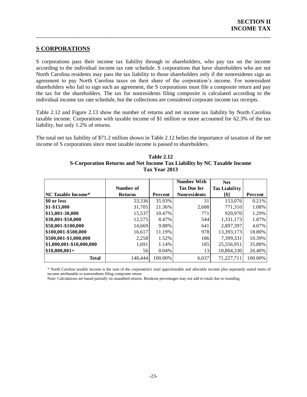#### <span id="page-25-0"></span>**S CORPORATIONS**

S corporations pass their income tax liability through to shareholders, who pay tax on the income according to the individual income tax rate schedule. S corporations that have shareholders who are not North Carolina residents may pass the tax liability to those shareholders only if the nonresidents sign an agreement to pay North Carolina taxes on their share of the corporation's income. For nonresident shareholders who fail to sign such an agreement, the S corporations must file a composite return and pay the tax for the shareholders. The tax for nonresidents filing composite is calculated according to the individual income tax rate schedule, but the collections are considered corporate income tax receipts.

\_\_\_\_\_\_\_\_\_\_\_\_\_\_\_\_\_\_\_\_\_\_\_\_\_\_\_\_\_\_\_\_\_\_\_\_\_\_\_\_\_\_\_\_\_\_\_\_\_\_\_\_\_\_\_\_\_\_\_\_\_\_\_\_\_\_\_\_\_\_\_\_\_\_\_\_\_\_

Table 2.12 and Figure 2.13 show the number of returns and net income tax liability by North Carolina taxable income. Corporations with taxable income of \$1 million or more accounted for 62.3% of the tax liability, but only 1.2% of returns.

<span id="page-25-1"></span>The total net tax liability of \$71.2 million shown in Table 2.12 belies the importance of taxation of the net income of S corporations since most taxable income is passed to shareholders.

| <b>Table 2.12</b>                                                       |
|-------------------------------------------------------------------------|
| S-Corporation Returns and Net Income Tax Liability by NC Taxable Income |
| Tax Year 2013                                                           |

|                           |                |         | <b>Number With</b>  | <b>Net</b>           |         |
|---------------------------|----------------|---------|---------------------|----------------------|---------|
|                           | Number of      |         | <b>Tax Due for</b>  | <b>Tax Liability</b> |         |
| <b>NC Taxable Income*</b> | <b>Returns</b> | Percent | <b>Nonresidents</b> | [\$]                 | Percent |
| \$0 or less               | 53,336         | 35.93%  | 31                  | 153,076              | 0.21%   |
| $ $1-$15,000$             | 31,705         | 21.36%  | 2,688               | 771,310              | 1.08%   |
| \$15,001-30,000           | 15,537         | 10.47%  | 771                 | 920,970              | 1.29%   |
| \$30,001-\$50,000         | 12,575         | 8.47%   | 544                 | 1,331,173            | 1.87%   |
| \$50,001-\$100,000        | 14,669         | 9.88%   | 641                 | 2,897,397            | 4.07%   |
| \$100,001-\$500,000       | 16,617         | 11.19%  | 978                 | 13,393,173           | 18.80%  |
| \$500,001-\$1,000,000     | 2,258          | 1.52%   | 186                 | 7,399,331            | 10.39%  |
| \$1,000,001-\$10,000,000  | 1,691          | 1.14%   | 185                 | 25,556,951           | 35.88%  |
| $$10,000,001+$            | 56             | 0.04%   | 13                  | 18,804,330           | 26.40%  |
| <b>Total</b>              | 148.444        | 100.00% | 6,037               | 71,227,711           | 100.00% |

\* North Carolina taxable income is the sum of the corporation's total apportionable and allocable income plus separately stated items of income attributable to nonresidents filing composite return

<span id="page-25-2"></span>Note: Calculations are based partially on unaudited returns. Breakout percentages may not add to totals due to rounding.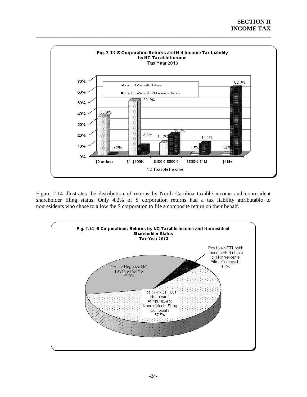

Figure 2.14 illustrates the distribution of returns by North Carolina taxable income and nonresident shareholder filing status. Only 4.2% of S corporation returns had a tax liability attributable to nonresidents who chose to allow the S corporation to file a composite return on their behalf.

<span id="page-26-0"></span>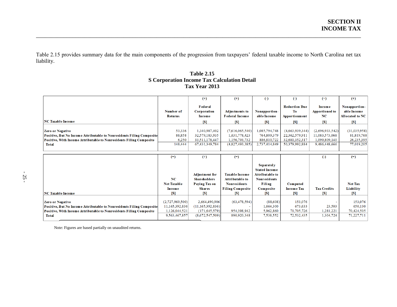Table 2.15 provides summary data for the main components of the progression from taxpayers' federal taxable income to North Carolina net tax liability.

\_\_\_\_\_\_\_\_\_\_\_\_\_\_\_\_\_\_\_\_\_\_\_\_\_\_\_\_\_\_\_\_\_\_\_\_\_\_\_\_\_\_\_\_\_\_\_\_\_\_\_\_\_\_\_\_\_\_\_\_\_\_\_\_\_\_\_\_\_\_\_\_\_\_\_\_\_\_\_\_\_\_\_\_\_\_\_\_\_\_\_\_\_\_\_\_\_\_\_\_\_\_\_\_\_\_\_\_

### **Table 2.15 S Corporation Income Tax Calculation Detail Tax Year 2013**

<span id="page-27-0"></span>

|                                                                       |                    | $(+)$                                        | $^{(+)}$                                        | $\left( -\right)$                                                                          | $\left( -\right)$          | $(=)$                                  | $^{(+)}$                     |
|-----------------------------------------------------------------------|--------------------|----------------------------------------------|-------------------------------------------------|--------------------------------------------------------------------------------------------|----------------------------|----------------------------------------|------------------------------|
|                                                                       | Number of          | <b>F</b> ed er al<br><b>Corporation</b>      | <b>Adjustments to</b>                           | Nonapportion-                                                                              | <b>Reduction Due</b><br>To | <b>Income</b><br><b>Apportioned to</b> | Nonapportion-<br>able Income |
|                                                                       | <b>Returns</b>     | Income                                       | <b>Federal Income</b>                           | able Income                                                                                | <b>Apportionment</b>       | NC                                     | <b>Allocated to NC</b>       |
| <b>NC Taxable Income</b>                                              |                    | $\lceil S \rceil$                            | <b>S</b>                                        | $\lceil S \rceil$                                                                          | <b>[S]</b>                 | <b>S</b>                               | $\lceil S \rceil$            |
| <b>Zero or Negative</b>                                               | 53,336             | 1,340,987,402                                | (7,616,065,540)                                 | 1,085,794,748                                                                              | (4,663,939,344)            | (2,696,933,542)                        | (31,035,958)                 |
| Positive, But No Income Attributable to Nonresidents Filing Composite | 88,858             | 32,579,183,935                               | 1,631,778,423                                   | 764,809,379                                                                                | 22,362,579,911             | 11,083,573,068                         | 81,819,768                   |
| Positive, With Income Attributable to Nonresidents Filing Composite   | 6,250              | 33, 511, 178, 447                            | 1,156,793,732                                   | 886,810,722                                                                                | 32.681.352.317             | 1,099,809,140                          | 26,235,395                   |
| <b>Total</b>                                                          | 148,444            | 67,431,349,784                               | (4,827,493,385)                                 | 2,737,414,849                                                                              | 50,379,992,884             | 9,486,448,666                          | 77,019,205                   |
|                                                                       |                    |                                              |                                                 |                                                                                            |                            |                                        |                              |
|                                                                       | $(=\)$             | $^{(+)}$                                     | $(=)$                                           |                                                                                            |                            | $\left( -\right)$                      | $(=)$                        |
|                                                                       | NC                 | <b>Adjustment for</b><br><b>Shareholders</b> | <b>Taxable Income</b><br><b>Attributable to</b> | <b>Separately</b><br><b>Stated Income</b><br><b>Attributable to</b><br><b>Nonresidents</b> |                            |                                        |                              |
|                                                                       | <b>Net Taxable</b> | <b>Paving Tax on</b>                         | <b>Nonresidents</b>                             | Filing                                                                                     | <b>Computed</b>            |                                        | <b>Net Tax</b>               |
|                                                                       | Income             | <b>Shares</b>                                | <b>Filing Composite</b>                         | Composite                                                                                  | <b>Income Tax</b>          | <b>Tax Credits</b>                     | Liability                    |
| <b>NC Taxable Income</b>                                              | [\$]               | $\lceil S \rceil$                            | <b>S1</b>                                       | <b>IS1</b>                                                                                 | TS 1                       | <b>S</b>                               | S <sub>1</sub>               |
|                                                                       |                    |                                              |                                                 |                                                                                            |                            |                                        |                              |
| <b>Zero or Negative</b>                                               | (2,727,969,500)    | 2,664,490,906                                | (63, 478, 594)                                  | (88,608)                                                                                   | 153,076                    |                                        | 153,076                      |
| Positive, But No Income Attributable to Nonresidents Filing Composite | 11,165,392,836     | (11, 165, 392, 836)                          |                                                 | 1,664,300                                                                                  | 673,633                    | 23,503                                 | 650,130                      |
| Positive, With Income Attributable to Nonresidents Filing Composite   | 1,126,044,521      | (171, 645, 579)                              | 954,398,942                                     | 5,962,860                                                                                  | 71,705,726                 | 1,281,221                              | 70,424,505                   |
| <b>Total</b>                                                          | 9,563,467,857      | (8,672,547,509)                              | 890,920,348                                     | 7,538,552                                                                                  | 72,532,435                 | 1,304,724                              | 71,227,711                   |
|                                                                       |                    |                                              |                                                 |                                                                                            |                            |                                        |                              |

Note: Figures are based partially on unaudited returns.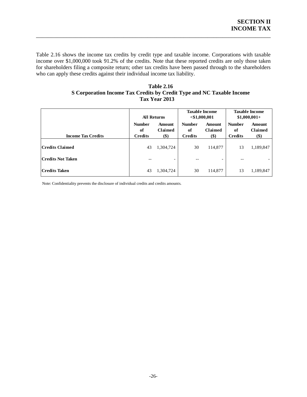Table 2.16 shows the income tax credits by credit type and taxable income. Corporations with taxable income over \$1,000,000 took 91.2% of the credits. Note that these reported credits are only those taken for shareholders filing a composite return; other tax credits have been passed through to the shareholders who can apply these credits against their individual income tax liability.

\_\_\_\_\_\_\_\_\_\_\_\_\_\_\_\_\_\_\_\_\_\_\_\_\_\_\_\_\_\_\_\_\_\_\_\_\_\_\_\_\_\_\_\_\_\_\_\_\_\_\_\_\_\_\_\_\_\_\_\_\_\_\_\_\_\_\_\_\_\_\_\_\_\_\_\_\_\_

#### **Table 2.16 S Corporation Income Tax Credits by Credit Type and NC Taxable Income Tax Year 2013**

<span id="page-28-0"></span>

|                           | <b>All Returns</b><br><b>Number</b><br>Amount<br>of<br>Claimed<br>\$)<br><b>Credits</b> |           |                                       | <b>Taxable Income</b><br>$<$ \$1,000,001 | <b>Taxable Income</b><br>$$1,000,001+$ |                          |  |
|---------------------------|-----------------------------------------------------------------------------------------|-----------|---------------------------------------|------------------------------------------|----------------------------------------|--------------------------|--|
| <b>Income Tax Credits</b> |                                                                                         |           | <b>Number</b><br>of<br><b>Credits</b> | Amount<br><b>Claimed</b><br>\$)          | <b>Number</b><br>of<br><b>Credits</b>  | Amount<br>Claimed<br>\$) |  |
| Credits Claimed           | 43                                                                                      | 1,304,724 | 30                                    | 114,877                                  | 13                                     | 1,189,847                |  |
| Credits Not Taken         | --                                                                                      |           | --                                    | -                                        | $- -$                                  |                          |  |
| Credits Taken             | 43                                                                                      | 1,304,724 | 30                                    | 114,877                                  | 13                                     | 1,189,847                |  |

Note: Confidentiality prevents the disclosure of individual credits and credits amounts.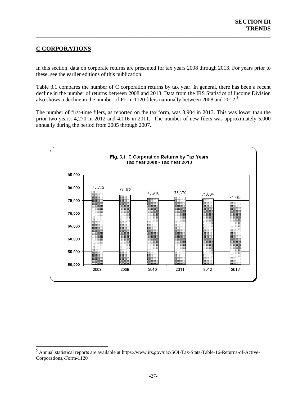## <span id="page-29-0"></span>**C CORPORATIONS**

<span id="page-29-2"></span><span id="page-29-1"></span> $\overline{a}$ 

In this section, data on corporate returns are presented for tax years 2008 through 2013. For years prior to these, see the earlier editions of this publication.

\_\_\_\_\_\_\_\_\_\_\_\_\_\_\_\_\_\_\_\_\_\_\_\_\_\_\_\_\_\_\_\_\_\_\_\_\_\_\_\_\_\_\_\_\_\_\_\_\_\_\_\_\_\_\_\_\_\_\_\_\_\_\_\_\_\_\_\_\_\_\_\_\_\_\_\_\_\_

Table 3.1 compares the number of C corporation returns by tax year. In general, there has been a recent decline in the number of returns between 2008 and 2013. Data from the IRS Statistics of Income Division also shows a decline in the number of Form 1120 filers nationally between 2008 and 2012.<sup>3</sup>

The number of first-time filers, as reported on the tax form, was 3,904 in 2013. This was lower than the prior two years: 4,270 in 2012 and 4,116 in 2011. The number of new filers was approximately 5,000 annually during the period from 2005 through 2007.



<sup>3</sup> Annual statistical reports are available at https://www.irs.gov/uac/SOI-Tax-Stats-Table-16-Returns-of-Active-Corporations,-Form-1120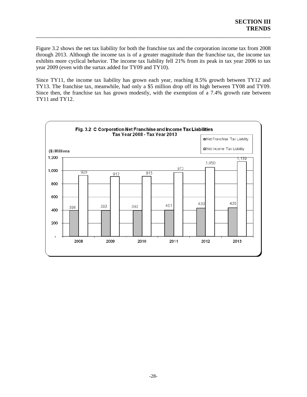Figure 3.2 shows the net tax liability for both the franchise tax and the corporation income tax from 2008 through 2013. Although the income tax is of a greater magnitude than the franchise tax, the income tax exhibits more cyclical behavior. The income tax liability fell 21% from its peak in tax year 2006 to tax year 2009 (even with the surtax added for TY09 and TY10).

\_\_\_\_\_\_\_\_\_\_\_\_\_\_\_\_\_\_\_\_\_\_\_\_\_\_\_\_\_\_\_\_\_\_\_\_\_\_\_\_\_\_\_\_\_\_\_\_\_\_\_\_\_\_\_\_\_\_\_\_\_\_\_\_\_\_\_\_\_\_\_\_\_\_\_\_\_\_

Since TY11, the income tax liability has grown each year, reaching 8.5% growth between TY12 and TY13. The franchise tax, meanwhile, had only a \$5 million drop off its high between TY08 and TY09. Since then, the franchise tax has grown modestly, with the exemption of a 7.4% growth rate between TY11 and TY12.

<span id="page-30-0"></span>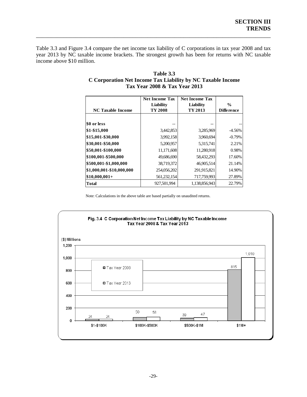Table 3.3 and Figure 3.4 compare the net income tax liability of C corporations in tax year 2008 and tax year 2013 by NC taxable income brackets. The strongest growth has been for returns with NC taxable income above \$10 million.

\_\_\_\_\_\_\_\_\_\_\_\_\_\_\_\_\_\_\_\_\_\_\_\_\_\_\_\_\_\_\_\_\_\_\_\_\_\_\_\_\_\_\_\_\_\_\_\_\_\_\_\_\_\_\_\_\_\_\_\_\_\_\_\_\_\_\_\_\_\_\_\_\_\_\_\_\_\_

| <b>NC Taxable Income</b> | <b>Net Income Tax</b><br><b>Net Income Tax</b><br>Liability<br>TY 2008 |               | $\frac{0}{0}$<br><b>Difference</b> |
|--------------------------|------------------------------------------------------------------------|---------------|------------------------------------|
| \$0 or less              |                                                                        |               |                                    |
| \$1-\$15,000             | 3,442,853                                                              | 3,285,969     | $-4.56%$                           |
| \$15,001-\$30,000        | 3,992,158                                                              | 3,960,694     | $-0.79%$                           |
| \$30,001-\$50,000        | 5,200,957                                                              | 5,315,741     | 2.21%                              |
| \$50,001-\$100,000       | 11,171,608                                                             | 11,280,918    | 0.98%                              |
| \$100,001-\$500,000      | 49,686,690                                                             | 58,432,293    | 17.60%                             |
| \$500,001-\$1,000,000    | 38,719,372                                                             | 46,905,514    | 21.14%                             |
| \$1,000,001-\$10,000,000 | 254,056,202                                                            | 291,915,821   | 14.90%                             |
| $$10,000,001+$           | 561,232,154                                                            | 717,759,993   | 27.89%                             |
| Total                    | 927.501.994                                                            | 1,138,856,943 | 22.79%                             |

#### **Table 3.3 C Corporation Net Income Tax Liability by NC Taxable Income Tax Year 2008 & Tax Year 2013**

Note: Calculations in the above table are based partially on unaudited returns.

<span id="page-31-0"></span>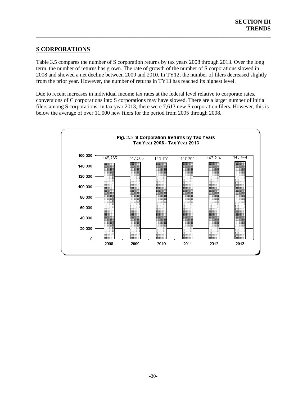## **S CORPORATIONS**

Table 3.5 compares the number of S corporation returns by tax years 2008 through 2013. Over the long term, the number of returns has grown. The rate of growth of the number of S corporations slowed in 2008 and showed a net decline between 2009 and 2010. In TY12, the number of filers decreased slightly from the prior year. However, the number of returns in TY13 has reached its highest level.

\_\_\_\_\_\_\_\_\_\_\_\_\_\_\_\_\_\_\_\_\_\_\_\_\_\_\_\_\_\_\_\_\_\_\_\_\_\_\_\_\_\_\_\_\_\_\_\_\_\_\_\_\_\_\_\_\_\_\_\_\_\_\_\_\_\_\_\_\_\_\_\_\_\_\_\_\_\_

Due to recent increases in individual income tax rates at the federal level relative to corporate rates, conversions of C corporations into S corporations may have slowed. There are a larger number of initial filers among S corporations: in tax year 2013, there were 7,613 new S corporation filers. However, this is below the average of over 11,000 new filers for the period from 2005 through 2008.

<span id="page-32-0"></span>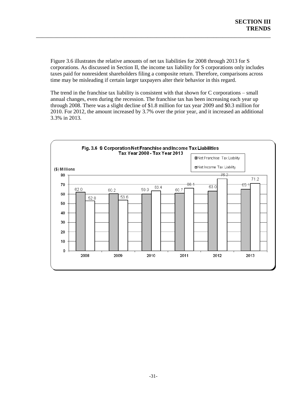Figure 3.6 illustrates the relative amounts of net tax liabilities for 2008 through 2013 for S corporations. As discussed in Section II, the income tax liability for S corporations only includes taxes paid for nonresident shareholders filing a composite return. Therefore, comparisons across time may be misleading if certain larger taxpayers alter their behavior in this regard.

\_\_\_\_\_\_\_\_\_\_\_\_\_\_\_\_\_\_\_\_\_\_\_\_\_\_\_\_\_\_\_\_\_\_\_\_\_\_\_\_\_\_\_\_\_\_\_\_\_\_\_\_\_\_\_\_\_\_\_\_\_\_\_\_\_\_\_\_\_\_\_\_\_\_\_\_\_\_

The trend in the franchise tax liability is consistent with that shown for C corporations – small annual changes, even during the recession. The franchise tax has been increasing each year up through 2008. There was a slight decline of \$1.8 million for tax year 2009 and \$0.3 million for 2010. For 2012, the amount increased by 3.7% over the prior year, and it increased an additional 3.3% in 2013.

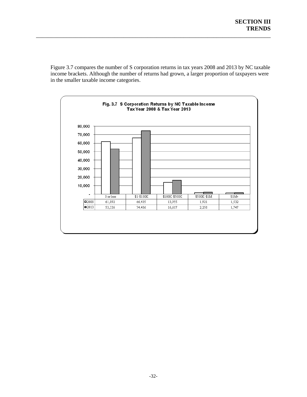Figure 3.7 compares the number of S corporation returns in tax years 2008 and 2013 by NC taxable income brackets. Although the number of returns had grown, a larger proportion of taxpayers were in the smaller taxable income categories.

\_\_\_\_\_\_\_\_\_\_\_\_\_\_\_\_\_\_\_\_\_\_\_\_\_\_\_\_\_\_\_\_\_\_\_\_\_\_\_\_\_\_\_\_\_\_\_\_\_\_\_\_\_\_\_\_\_\_\_\_\_\_\_\_\_\_\_\_\_\_\_\_\_\_\_\_\_\_

<span id="page-34-0"></span>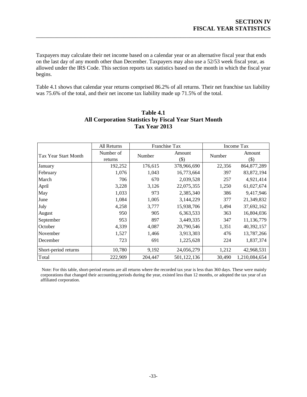Taxpayers may calculate their net income based on a calendar year or an alternative fiscal year that ends on the last day of any month other than December. Taxpayers may also use a 52/53 week fiscal year, as allowed under the IRS Code. This section reports tax statistics based on the month in which the fiscal year begins.

\_\_\_\_\_\_\_\_\_\_\_\_\_\_\_\_\_\_\_\_\_\_\_\_\_\_\_\_\_\_\_\_\_\_\_\_\_\_\_\_\_\_\_\_\_\_\_\_\_\_\_\_\_\_\_\_\_\_\_\_\_\_\_\_\_\_\_\_\_\_\_\_\_\_\_\_\_\_

Table 4.1 shows that calendar year returns comprised 86.2% of all returns. Their net franchise tax liability was 75.6% of the total, and their net income tax liability made up 71.5% of the total.

|                      | All Returns          | Franchise Tax |                |        | Income Tax        |
|----------------------|----------------------|---------------|----------------|--------|-------------------|
| Tax Year Start Month | Number of<br>returns | Number        | Amount<br>(\$) | Number | Amount<br>$($ \$) |
| January              | 192,252              | 176,615       | 378,966,690    | 22,356 | 864, 877, 289     |
| February             | 1,076                | 1,043         | 16,773,664     | 397    | 83, 872, 194      |
| March                | 706                  | 670           | 2,039,528      | 257    | 4,921,414         |
| April                | 3,228                | 3,126         | 22,075,355     | 1,250  | 61,027,674        |
| May                  | 1,033                | 973           | 2,385,340      | 386    | 9,417,946         |
| June                 | 1,084                | 1,005         | 3,144,229      | 377    | 21,349,832        |
| July                 | 4,258                | 3,777         | 15,938,706     | 1,494  | 37,692,162        |
| August               | 950                  | 905           | 6,363,533      | 363    | 16,804,036        |
| September            | 953                  | 897           | 3,449,335      | 347    | 11,136,779        |
| October              | 4,339                | 4,087         | 20,790,546     | 1,351  | 40,392,157        |
| November             | 1,527                | 1,466         | 3,913,303      | 476    | 13,787,266        |
| December             | 723                  | 691           | 1,225,628      | 224    | 1,837,374         |
| Short-period returns | 10,780               | 9,192         | 24,056,279     | 1,212  | 42,968,531        |
| Total                | 222,909              | 204,447       | 501, 122, 136  | 30,490 | 1,210,084,654     |

## **Table 4.1 All Corporation Statistics by Fiscal Year Start Month Tax Year 2013**

Note: For this table, short-period returns are all returns where the recorded tax year is less than 360 days. These were mainly corporations that changed their accounting periods during the year, existed less than 12 months, or adopted the tax year of an affiliated corporation.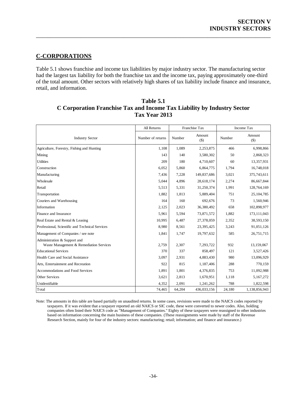## **C-CORPORATIONS**

Table 5.1 shows franchise and income tax liabilities by major industry sector. The manufacturing sector had the largest tax liability for both the franchise tax and the income tax, paying approximately one-third of the total amount. Other sectors with relatively high shares of tax liability include finance and insurance, retail, and information.

\_\_\_\_\_\_\_\_\_\_\_\_\_\_\_\_\_\_\_\_\_\_\_\_\_\_\_\_\_\_\_\_\_\_\_\_\_\_\_\_\_\_\_\_\_\_\_\_\_\_\_\_\_\_\_\_\_\_\_\_\_\_\_\_\_\_\_\_\_\_\_\_\_\_\_\_\_\_

| Table 5.1                                                               |  |  |  |  |
|-------------------------------------------------------------------------|--|--|--|--|
| C Corporation Franchise Tax and Income Tax Liability by Industry Sector |  |  |  |  |
| Tax Year 2013                                                           |  |  |  |  |

|                                                 | All Returns       | Franchise Tax |                 | Income Tax |                   |
|-------------------------------------------------|-------------------|---------------|-----------------|------------|-------------------|
| <b>Industry Sector</b>                          | Number of returns | Number        | Amount<br>$($)$ | Number     | Amount<br>$($ \$) |
| Agriculture, Forestry, Fishing and Hunting      | 1,108             | 1,089         | 2,253,875       | 466        | 6,998,866         |
| Mining                                          | 143               | 140           | 3,580,302       | 50         | 2,868,323         |
| <b>Utilities</b>                                | 209               | 180           | 4,710,607       | 60         | 13,357,931        |
| Construction                                    | 6,052             | 5,860         | 6,864,775       | 1,794      | 16,748,018        |
| Manufacturing                                   | 7,436             | 7,228         | 149,837,686     | 3,021      | 375,743,611       |
| Wholesale                                       | 5,044             | 4,896         | 28,618,174      | 2,274      | 86,667,844        |
| Retail                                          | 5,513             | 5,331         | 31,250,374      | 1,991      | 128,764,169       |
| Transportation                                  | 1,882             | 1,813         | 5,889,404       | 751        | 25, 104, 785      |
| Couriers and Warehousing                        | 164               | 160           | 692,676         | 73         | 1,560,946         |
| Information                                     | 2,125             | 2,023         | 36,380,492      | 658        | 102,898,977       |
| Finance and Insurance                           | 5,961             | 5,594         | 73,871,572      | 1,882      | 173, 111, 043     |
| Real Estate and Rental & Leasing                | 10,995            | 6,487         | 27,378,059      | 2,352      | 38,593,150        |
| Professional, Scientific and Technical Services | 8.980             | 8,561         | 23,395,425      | 3,243      | 91,051,126        |
| Management of Companies / see note              | 1,841             | 1,747         | 19,797,632      | 585        | 26,751,715        |
| Administration & Support and                    |                   |               |                 |            |                   |
| Waste Management & Remediation Services         | 2,759             | 2,307         | 7,293,722       | 932        | 13,159,067        |
| <b>Educational Services</b>                     | 370               | 337           | 858,497         | 121        | 3,527,426         |
| Health Care and Social Assistance               | 3,097             | 2,931         | 4,883,430       | 980        | 13,096,929        |
| Arts, Entertainment and Recreation              | 922               | 815           | 1,187,406       | 288        | 770,159           |
| Accommodations and Food Services                | 1,891             | 1,801         | 4,376,835       | 753        | 11,092,988        |
| Other Services                                  | 3,621             | 2,813         | 1,670,951       | 1,118      | 5,167,272         |
| Unidentifiable                                  | 4,352             | 2,091         | 1,241,262       | 788        | 1,822,598         |
| Total                                           | 74,465            | 64,204        | 436,033,156     | 24,180     | 1,138,856,943     |

Note: The amounts in this table are based partially on unaudited returns. In some cases, revisions were made to the NAICS codes reported by taxpayers. If it was evident that a taxpayer reported an old NAICS or SIC code, these were converted to newer codes. Also, holding companies often listed their NAICS code as "Management of Companies." Eighty of these taxpayers were reassigned to other industries based on information concerning the main business of these companies. (These reassignments were made by staff of the Revenue Research Section, mainly for four of the industry sectors: manufacturing; retail; information; and finance and insurance.)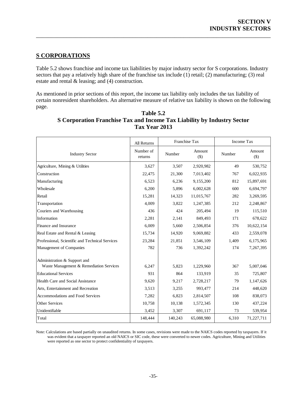## **S CORPORATIONS**

Table 5.2 shows franchise and income tax liabilities by major industry sector for S corporations. Industry sectors that pay a relatively high share of the franchise tax include (1) retail; (2) manufacturing; (3) real estate and rental & leasing; and (4) construction.

\_\_\_\_\_\_\_\_\_\_\_\_\_\_\_\_\_\_\_\_\_\_\_\_\_\_\_\_\_\_\_\_\_\_\_\_\_\_\_\_\_\_\_\_\_\_\_\_\_\_\_\_\_\_\_\_\_\_\_\_\_\_\_\_\_\_\_\_\_\_\_\_\_\_\_\_\_\_

As mentioned in prior sections of this report, the income tax liability only includes the tax liability of certain nonresident shareholders. An alternative measure of relative tax liability is shown on the following page.

|                                                 | All Returns          | Franchise Tax |                 | Income Tax |                 |
|-------------------------------------------------|----------------------|---------------|-----------------|------------|-----------------|
| <b>Industry Sector</b>                          | Number of<br>returns | Number        | Amount<br>$($)$ | Number     | Amount<br>$($)$ |
| Agriculture, Mining & Utilities                 | 3,627                | 3,507         | 2,920,982       | 49         | 530,752         |
| Construction                                    | 22,475               | 21,300        | 7,013,402       | 767        | 6,022,935       |
| Manufacturing                                   | 6,523                | 6,236         | 9,155,200       | 812        | 15,897,691      |
| Wholesale                                       | 6,200                | 5,896         | 6,002,628       | 600        | 6,694,797       |
| Retail                                          | 15,281               | 14,323        | 11,015,767      | 282        | 3,269,595       |
| Transportation                                  | 4,009                | 3,822         | 1,247,385       | 212        | 2,248,867       |
| Couriers and Warehousing                        | 436                  | 424           | 205,494         | 19         | 115,510         |
| Information                                     | 2,281                | 2,141         | 849,493         | 171        | 678,622         |
| Finance and Insurance                           | 6,009                | 5,660         | 2,506,854       | 376        | 10,622,154      |
| Real Estate and Rental & Leasing                | 15,734               | 14,920        | 9,069,882       | 433        | 2,559,078       |
| Professional, Scientific and Technical Services | 23,284               | 21,851        | 3,546,109       | 1,409      | 6,175,965       |
| Management of Companies                         | 782                  | 736           | 1,392,242       | 174        | 7,267,395       |
| Administration & Support and                    |                      |               |                 |            |                 |
| Waste Management & Remediation Services         | 6,247                | 5,823         | 1,229,960       | 367        | 5,007,046       |
| <b>Educational Services</b>                     | 931                  | 864           | 133,919         | 35         | 725,807         |
| Health Care and Social Assistance               | 9,620                | 9,217         | 2,728,217       | 79         | 1,147,626       |
| Arts, Entertainment and Recreation              | 3,513                | 3,255         | 993,477         | 214        | 448,620         |
| <b>Accommodations and Food Services</b>         | 7,282                | 6,823         | 2,814,507       | 108        | 838,073         |
| <b>Other Services</b>                           | 10,758               | 10,138        | 1,572,345       | 130        | 437,224         |
| Unidentifiable                                  | 3,452                | 3,307         | 691,117         | 73         | 539,954         |
| Total                                           | 148,444              | 140,243       | 65,088,980      | 6,310      | 71,227,711      |

| Table 5.2                                                                      |
|--------------------------------------------------------------------------------|
| <b>S</b> Corporation Franchise Tax and Income Tax Liability by Industry Sector |
| Tax Year 2013                                                                  |

Note: Calculations are based partially on unaudited returns. In some cases, revisions were made to the NAICS codes reported by taxpayers. If it was evident that a taxpayer reported an old NAICS or SIC code, these were converted to newer codes. Agriculture, Mining and Utilities were reported as one sector to protect confidentiality of taxpayers.